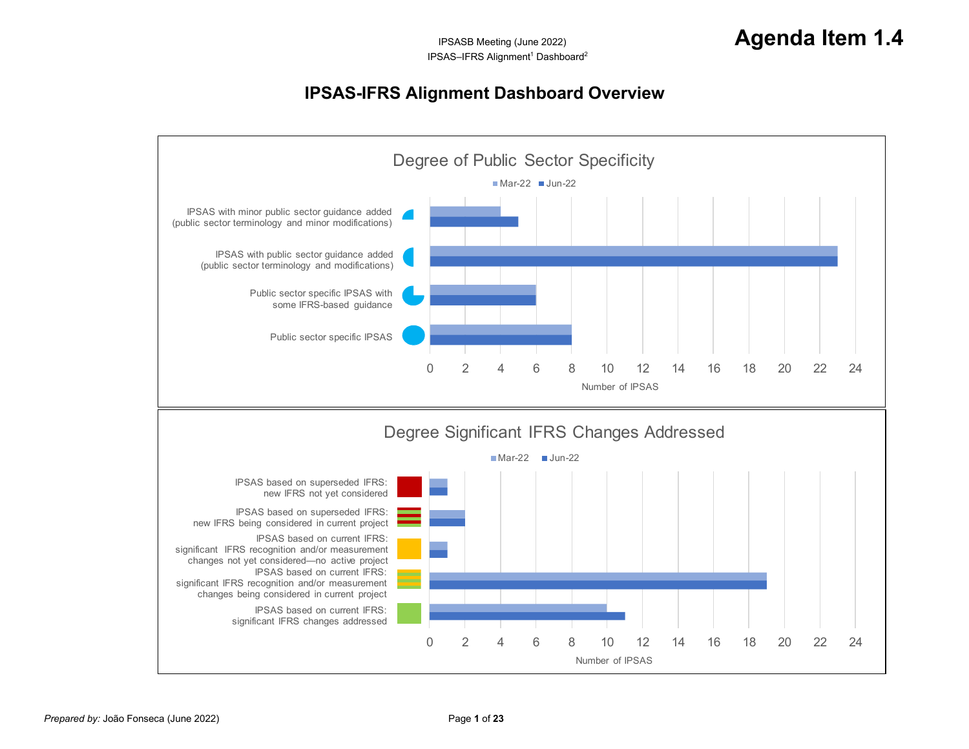## <span id="page-0-0"></span>**IPSAS-IFRS Alignment Dashboard Overview**

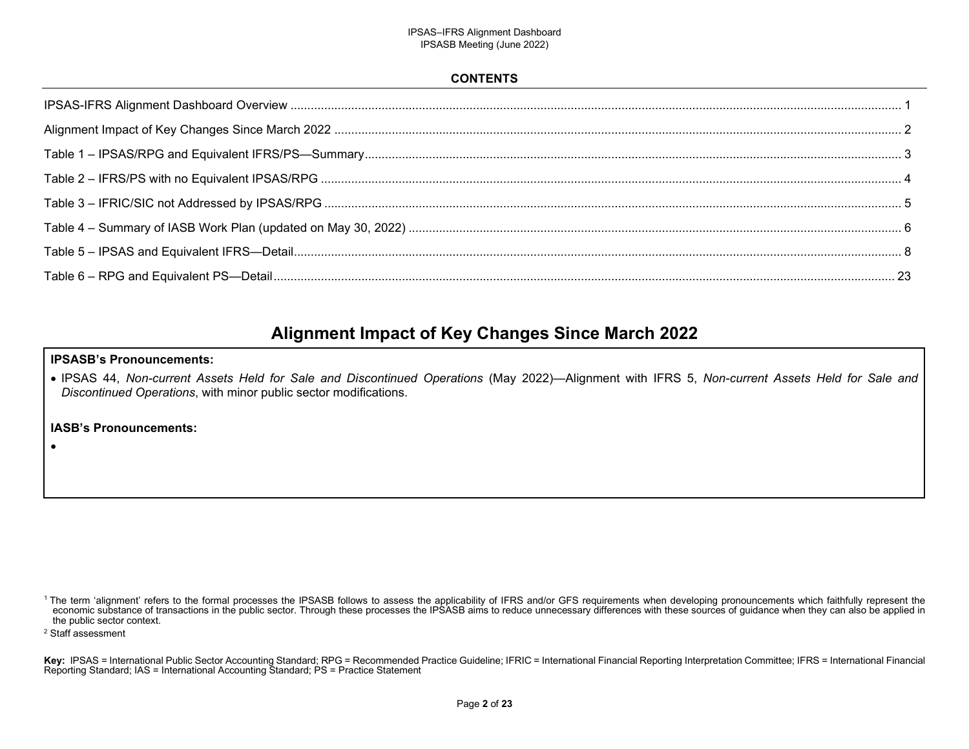## <span id="page-1-0"></span>**CONTENTS**

## **Alignment Impact of Key Changes Since March 2022**

### **IPSASB's Pronouncements:**

 IPSAS 44, *Non-current Assets Held for Sale and Discontinued Operations* (May 2022)—Alignment with IFRS 5, *Non-current Assets Held for Sale and Discontinued Operations*, with minor public sector modifications.

## **IASB's Pronouncements:**

The term 'alignment' refers to the formal processes the IPSASB follows to assess the applicability of IFRS and/or GFS requirements when developing pronouncements which faithfully represent the "<br>economic substance of trans the public sector context.

<sup>2</sup> Staff assessment

.

Key: IPSAS = International Public Sector Accounting Standard; RPG = Recommended Practice Guideline; IFRIC = International Financial Reporting Interpretation Committee; IFRS = International Financial Reporting Standard; IAS = International Accounting Standard; PS = Practice Statement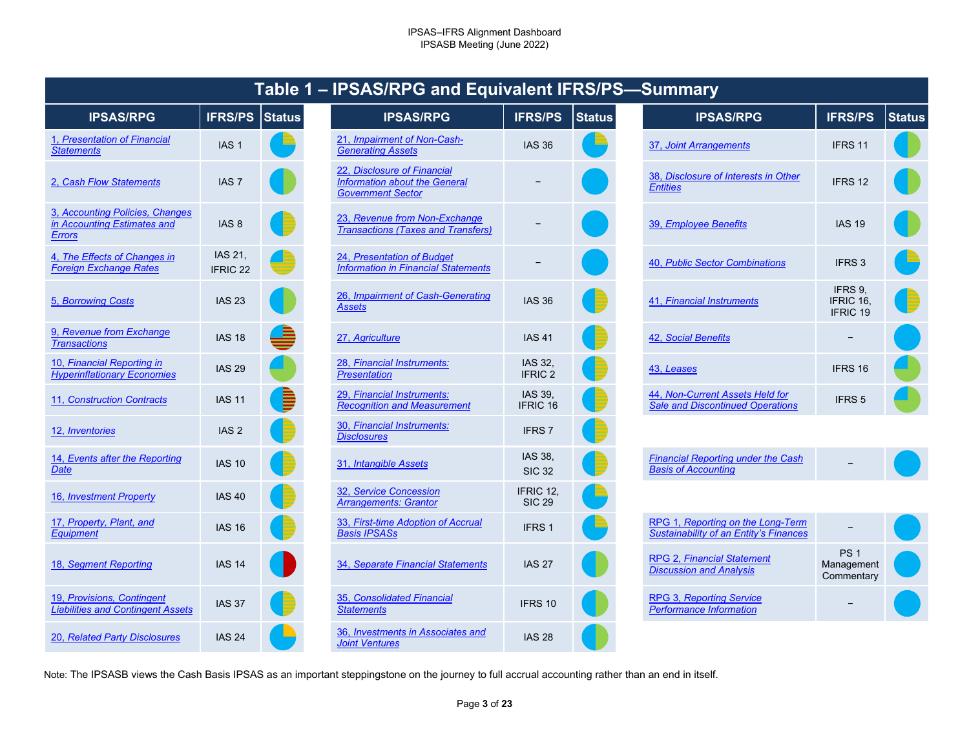|                                                                                 |                            | סוטוס ו       | <b>UNUIN U AIN LYL</b>                                                                          |
|---------------------------------------------------------------------------------|----------------------------|---------------|-------------------------------------------------------------------------------------------------|
| <b>IPSAS/RPG</b>                                                                | <b>IFRS/PS</b>             | <b>Status</b> | <b>IPSAS/RPG</b>                                                                                |
| 1, Presentation of Financial<br><b>Statements</b>                               | IAS <sub>1</sub>           |               | 21, Impairment of Non-Cash-<br><b>Generating Assets</b>                                         |
| 2. Cash Flow Statements                                                         | IAS <sub>7</sub>           |               | 22, Disclosure of Financial<br><b>Information about the General</b><br><b>Government Sector</b> |
| 3. Accounting Policies, Changes<br>in Accounting Estimates and<br><b>Errors</b> | IAS <sub>8</sub>           |               | 23, Revenue from Non-Exchange<br><b>Transactions (Taxes and Transfers)</b>                      |
| 4. The Effects of Changes in<br><b>Foreign Exchange Rates</b>                   | IAS 21.<br><b>IFRIC 22</b> |               | 24, Presentation of Budget<br><b>Information in Financial Statements</b>                        |
| 5, Borrowing Costs                                                              | <b>IAS 23</b>              |               | 26, Impairment of Cash-Generating<br><b>Assets</b>                                              |
| 9, Revenue from Exchange<br><b>Transactions</b>                                 | <b>IAS 18</b>              |               | 27, Agriculture                                                                                 |
| 10, Financial Reporting in<br><b>Hyperinflationary Economies</b>                | <b>IAS 29</b>              |               | 28, Financial Instruments:<br><b>Presentation</b>                                               |
| 11, Construction Contracts                                                      | <b>IAS 11</b>              |               | 29, Financial Instruments:<br><b>Recognition and Measurement</b>                                |
| 12, <i>Inventories</i>                                                          | IAS <sub>2</sub>           |               | 30, Financial Instruments:<br><b>Disclosures</b>                                                |
| 14, Events after the Reporting<br>Date                                          | <b>IAS 10</b>              |               | 31, Intangible Assets                                                                           |
| 16, Investment Property                                                         | <b>IAS 40</b>              |               | 32, Service Concession<br><b>Arrangements: Grantor</b>                                          |
| 17, Property, Plant, and<br><b>Equipment</b>                                    | <b>IAS 16</b>              |               | 33, First-time Adoption of Accrual<br><b>Basis IPSASs</b>                                       |
| 18, Segment Reporting                                                           | <b>IAS 14</b>              |               | 34, Separate Financial Statements                                                               |
| 19, Provisions, Contingent<br><b>Liabilities and Contingent Assets</b>          | <b>IAS 37</b>              |               | 35, Consolidated Financial<br><b>Statements</b>                                                 |
| 20, Related Party Disclosures                                                   | <b>IAS 24</b>              |               | 36, Investments in Associates and<br>$Ioint V_{\alpha}$                                         |

## <span id="page-2-27"></span><span id="page-2-26"></span><span id="page-2-25"></span><span id="page-2-24"></span><span id="page-2-14"></span><span id="page-2-13"></span><span id="page-2-12"></span><span id="page-2-11"></span><span id="page-2-10"></span><span id="page-2-9"></span><span id="page-2-8"></span>**Table 1 – IPSAS/RPG and Equivalent IFRS/PS—Summary**

<span id="page-2-29"></span><span id="page-2-28"></span><span id="page-2-15"></span>

| <b>IPSAS/RPG</b>                                                             | <b>IFRS/PS</b>                 | Status | <b>IPSAS/RPG</b>                                                                                | <b>IFRS/PS</b>                | <b>Status</b> | <b>IPSAS/RPG</b>                                                                   | <b>IFRS/PS</b>                              | <b>Status</b> |
|------------------------------------------------------------------------------|--------------------------------|--------|-------------------------------------------------------------------------------------------------|-------------------------------|---------------|------------------------------------------------------------------------------------|---------------------------------------------|---------------|
| Presentation of Financial<br>tements                                         | IAS <sub>1</sub>               |        | 21, Impairment of Non-Cash-<br><b>Generating Assets</b>                                         | <b>IAS 36</b>                 |               | 37, Joint Arrangements                                                             | IFRS 11                                     |               |
| Cash Flow Statements                                                         | IAS <sub>7</sub>               |        | 22, Disclosure of Financial<br><b>Information about the General</b><br><b>Government Sector</b> |                               |               | 38, Disclosure of Interests in Other<br><b>Entities</b>                            | IFRS 12                                     |               |
| <b>Accounting Policies, Changes</b><br>ccounting Estimates and<br><u>ors</u> | IAS <sub>8</sub>               |        | 23, Revenue from Non-Exchange<br><b>Transactions (Taxes and Transfers)</b>                      |                               |               | 39, Employee Benefits                                                              | <b>IAS 19</b>                               |               |
| The Effects of Changes in<br>eign Exchange Rates                             | IAS 21,<br>IFRIC <sub>22</sub> |        | 24, Presentation of Budget<br><b>Information in Financial Statements</b>                        |                               |               | 40, Public Sector Combinations                                                     | IFRS <sub>3</sub>                           |               |
| <b>Borrowing Costs</b>                                                       | <b>IAS 23</b>                  |        | 26, Impairment of Cash-Generating<br><b>Assets</b>                                              | <b>IAS 36</b>                 |               | 41, Financial Instruments                                                          | IFRS 9,<br>IFRIC 16,<br>IFRIC 19            |               |
| Revenue from Exchange<br><i><b>nsactions</b></i>                             | <b>IAS 18</b>                  | ≜      | 27, Agriculture                                                                                 | <b>IAS 41</b>                 |               | 42, Social Benefits                                                                |                                             |               |
| <b>Financial Reporting in</b><br>erinflationary Economies                    | <b>IAS 29</b>                  |        | 28, Financial Instruments:<br><b>Presentation</b>                                               | IAS 32,<br>IFRIC <sub>2</sub> |               | 43, Leases                                                                         | IFRS 16                                     |               |
| <b>Construction Contracts</b>                                                | <b>IAS 11</b>                  | I      | 29, Financial Instruments:<br><b>Recognition and Measurement</b>                                | IAS 39,<br>IFRIC 16           |               | 44, Non-Current Assets Held for<br><b>Sale and Discontinued Operations</b>         | IFRS <sub>5</sub>                           |               |
| <i><u><b>Inventories</b></u></i>                                             | IAS <sub>2</sub>               |        | 30, Financial Instruments:<br><b>Disclosures</b>                                                | IFRS <sub>7</sub>             |               |                                                                                    |                                             |               |
| <b>Events after the Reporting</b>                                            | <b>IAS 10</b>                  |        | 31, Intangible Assets                                                                           | IAS 38,<br><b>SIC 32</b>      |               | <b>Financial Reporting under the Cash</b><br><b>Basis of Accounting</b>            |                                             |               |
| <b>Investment Property</b>                                                   | <b>IAS 40</b>                  |        | 32, Service Concession<br><b>Arrangements: Grantor</b>                                          | IFRIC 12,<br><b>SIC 29</b>    |               |                                                                                    |                                             |               |
| Property, Plant, and<br><i><b>iipment</b></i>                                | <b>IAS 16</b>                  |        | 33, First-time Adoption of Accrual<br><b>Basis IPSASs</b>                                       | IFRS <sub>1</sub>             |               | RPG 1, Reporting on the Long-Term<br><b>Sustainability of an Entity's Finances</b> |                                             |               |
| <b>Segment Reporting</b>                                                     | <b>IAS 14</b>                  |        | 34, Separate Financial Statements                                                               | <b>IAS 27</b>                 |               | <b>RPG 2, Financial Statement</b><br><b>Discussion and Analysis</b>                | PS <sub>1</sub><br>Management<br>Commentary |               |
| <b>Provisions. Contingent</b><br>bilities and Contingent Assets              | <b>IAS 37</b>                  |        | 35, Consolidated Financial<br><b>Statements</b>                                                 | IFRS 10                       |               | <b>RPG 3, Reporting Service</b><br><b>Performance Information</b>                  |                                             |               |
| <b>Related Party Disclosures</b>                                             | <b>IAS 24</b>                  |        | 36, Investments in Associates and<br><b>Joint Ventures</b>                                      | <b>IAS 28</b>                 |               |                                                                                    |                                             |               |

<span id="page-2-23"></span><span id="page-2-22"></span><span id="page-2-21"></span><span id="page-2-7"></span><span id="page-2-6"></span><span id="page-2-5"></span><span id="page-2-4"></span><span id="page-2-3"></span><span id="page-2-2"></span><span id="page-2-1"></span><span id="page-2-0"></span>

|               | <b>IFRS/PS</b>                   | <b>Status</b> | <b>IPSAS/RPG</b>                                                           | <b>IFRS/PS</b>                          | <b>Status</b> |
|---------------|----------------------------------|---------------|----------------------------------------------------------------------------|-----------------------------------------|---------------|
|               | <b>IAS 36</b>                    |               | 37, Joint Arrangements                                                     | IFRS 11                                 |               |
|               |                                  |               | 38, Disclosure of Interests in Other<br><b>Entities</b>                    | IFRS 12                                 |               |
| nge<br>sfers) |                                  |               | 39, Employee Benefits                                                      | <b>IAS 19</b>                           |               |
| nents         |                                  |               | 40, Public Sector Combinations                                             | IFRS <sub>3</sub>                       |               |
| rating        | <b>IAS 36</b>                    |               | 41, Financial Instruments                                                  | IFRS 9,<br>IFRIC 16.<br><b>IFRIC 19</b> |               |
|               | <b>IAS 41</b>                    |               | 42, Social Benefits                                                        |                                         |               |
|               | <b>IAS 32.</b><br><b>IFRIC 2</b> |               | 43, Leases                                                                 | IFRS 16                                 |               |
|               | IAS 39,<br>IFRIC 16              |               | 44, Non-Current Assets Held for<br><b>Sale and Discontinued Operations</b> | <b>IFRS5</b>                            |               |
|               |                                  |               |                                                                            |                                         |               |

<span id="page-2-20"></span><span id="page-2-19"></span><span id="page-2-18"></span><span id="page-2-17"></span><span id="page-2-16"></span>

| <b>Financial Reporting under the Cash</b> | - |  |
|-------------------------------------------|---|--|
| <b>Basis of Accounting</b>                |   |  |

<span id="page-2-37"></span><span id="page-2-36"></span><span id="page-2-35"></span><span id="page-2-34"></span><span id="page-2-33"></span><span id="page-2-32"></span><span id="page-2-31"></span><span id="page-2-30"></span>

| RPG 1, Reporting on the Long-Term<br><b>Sustainability of an Entity's Finances</b> |                                             |  |
|------------------------------------------------------------------------------------|---------------------------------------------|--|
| <b>RPG 2, Financial Statement</b><br><b>Discussion and Analysis</b>                | PS <sub>1</sub><br>Management<br>Commentary |  |
| RPG 3, Reporting Service<br><b>Performance Information</b>                         |                                             |  |

<span id="page-2-41"></span><span id="page-2-40"></span><span id="page-2-39"></span><span id="page-2-38"></span>Note: The IPSASB views the Cash Basis IPSAS as an important steppingstone on the journey to full accrual accounting rather than an end in itself.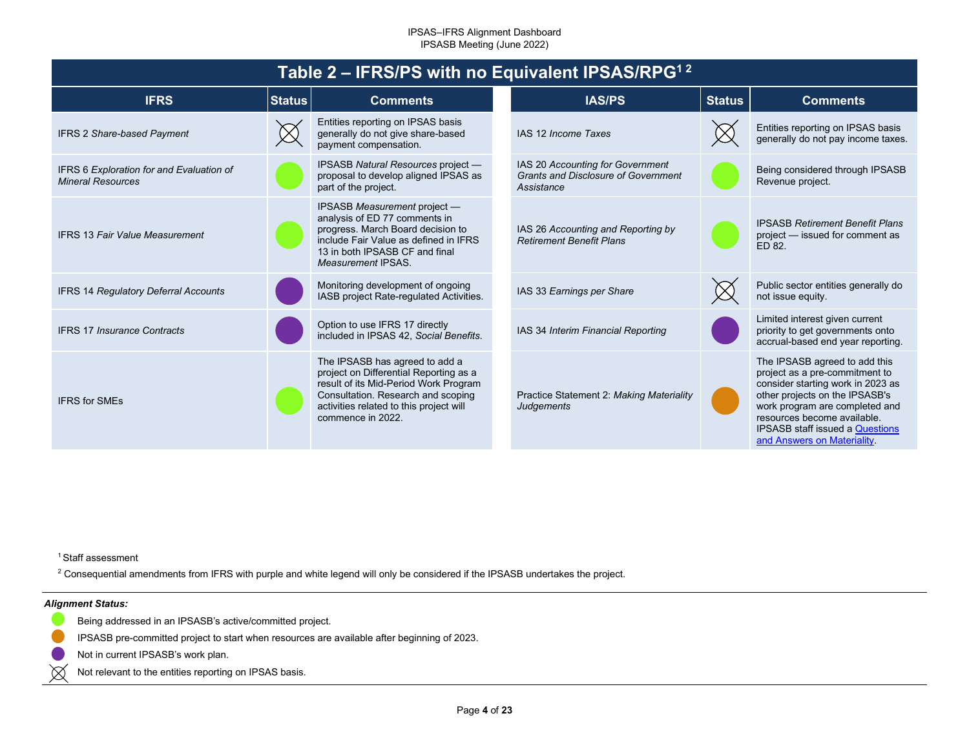<span id="page-3-0"></span>

| Table 2 – IFRS/PS with no Equivalent IPSAS/RPG <sup>12</sup>         |               |                                                                                                                                                                                                                         |  |                                                                                              |               |                                                                                                                                                                                                                                                                                 |  |  |
|----------------------------------------------------------------------|---------------|-------------------------------------------------------------------------------------------------------------------------------------------------------------------------------------------------------------------------|--|----------------------------------------------------------------------------------------------|---------------|---------------------------------------------------------------------------------------------------------------------------------------------------------------------------------------------------------------------------------------------------------------------------------|--|--|
| <b>IFRS</b>                                                          | <b>Status</b> | <b>Comments</b>                                                                                                                                                                                                         |  | <b>IAS/PS</b>                                                                                | <b>Status</b> | <b>Comments</b>                                                                                                                                                                                                                                                                 |  |  |
| <b>IFRS 2 Share-based Payment</b>                                    |               | Entities reporting on IPSAS basis<br>generally do not give share-based<br>payment compensation.                                                                                                                         |  | IAS 12 Income Taxes                                                                          |               | Entities reporting on IPSAS basis<br>generally do not pay income taxes.                                                                                                                                                                                                         |  |  |
| IFRS 6 Exploration for and Evaluation of<br><b>Mineral Resources</b> |               | IPSASB Natural Resources project -<br>proposal to develop aligned IPSAS as<br>part of the project.                                                                                                                      |  | IAS 20 Accounting for Government<br><b>Grants and Disclosure of Government</b><br>Assistance |               | Being considered through IPSASB<br>Revenue project.                                                                                                                                                                                                                             |  |  |
| <b>IFRS 13 Fair Value Measurement</b>                                |               | IPSASB Measurement project -<br>analysis of ED 77 comments in<br>progress. March Board decision to<br>include Fair Value as defined in IFRS<br>13 in both IPSASB CF and final<br>Measurement IPSAS.                     |  | IAS 26 Accounting and Reporting by<br><b>Retirement Benefit Plans</b>                        |               | <b>IPSASB Retirement Benefit Plans</b><br>project - issued for comment as<br>ED 82.                                                                                                                                                                                             |  |  |
| <b>IFRS 14 Regulatory Deferral Accounts</b>                          |               | Monitoring development of ongoing<br>IASB project Rate-regulated Activities.                                                                                                                                            |  | IAS 33 Earnings per Share                                                                    |               | Public sector entities generally do<br>not issue equity.                                                                                                                                                                                                                        |  |  |
| <b>IFRS 17 Insurance Contracts</b>                                   |               | Option to use IFRS 17 directly<br>included in IPSAS 42, Social Benefits.                                                                                                                                                |  | IAS 34 Interim Financial Reporting                                                           |               | Limited interest given current<br>priority to get governments onto<br>accrual-based end year reporting.                                                                                                                                                                         |  |  |
| <b>IFRS for SMEs</b>                                                 |               | The IPSASB has agreed to add a<br>project on Differential Reporting as a<br>result of its Mid-Period Work Program<br>Consultation. Research and scoping<br>activities related to this project will<br>commence in 2022. |  | Practice Statement 2: Making Materiality<br><b>Judgements</b>                                |               | The IPSASB agreed to add this<br>project as a pre-commitment to<br>consider starting work in 2023 as<br>other projects on the IPSASB's<br>work program are completed and<br>resources become available.<br><b>IPSASB staff issued a Questions</b><br>and Answers on Materiality |  |  |

<sup>1</sup> Staff assessment

 $^2$  Consequential amendments from IFRS with purple and white legend will only be considered if the IPSASB undertakes the project.

### *Alignment Status:*

- 
- Being addressed in an IPSASB's active/committed project.
- IPSASB pre-committed project to start when resources are available after beginning of 2023.
- Not in current IPSASB's work plan.
- $\boxtimes$ Not relevant to the entities reporting on IPSAS basis.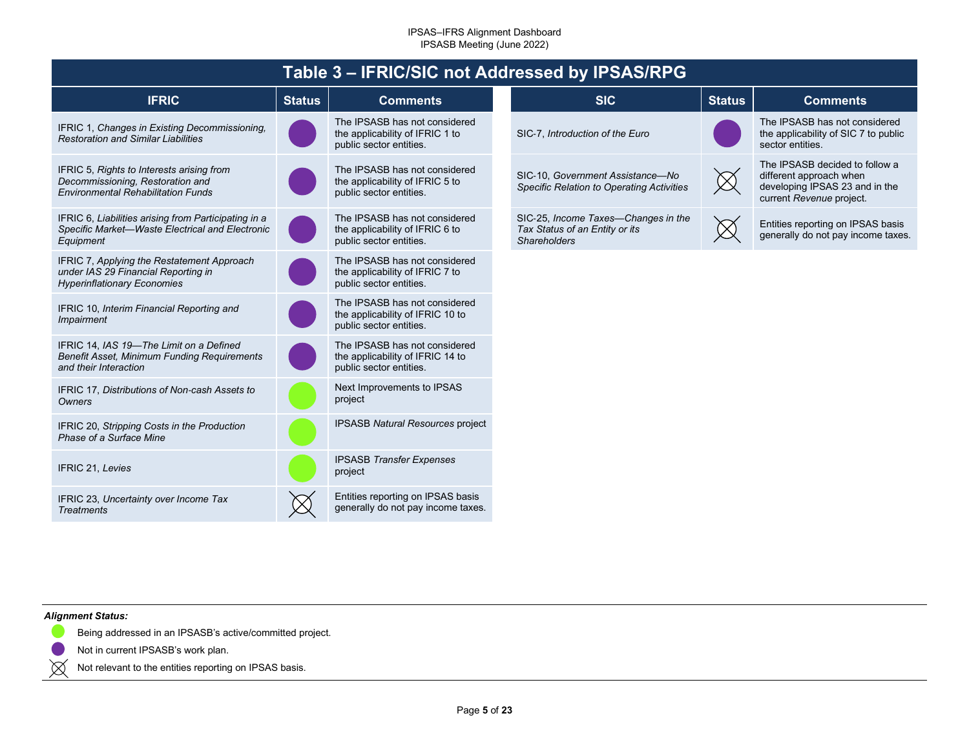<span id="page-4-0"></span>

|                                                                                                                            |               |                                                                                              | Table 3 - IFRIC/SIC not Addressed by IPSAS/RPG                                               |               |                                                                                                                         |
|----------------------------------------------------------------------------------------------------------------------------|---------------|----------------------------------------------------------------------------------------------|----------------------------------------------------------------------------------------------|---------------|-------------------------------------------------------------------------------------------------------------------------|
| <b>IFRIC</b>                                                                                                               | <b>Status</b> | <b>Comments</b>                                                                              | <b>SIC</b>                                                                                   | <b>Status</b> | <b>Comments</b>                                                                                                         |
| IFRIC 1, Changes in Existing Decommissioning,<br><b>Restoration and Similar Liabilities</b>                                |               | The IPSASB has not considered<br>the applicability of IFRIC 1 to<br>public sector entities.  | SIC-7, Introduction of the Euro                                                              |               | The IPSASB has not considered<br>the applicability of SIC 7 to public<br>sector entities.                               |
| IFRIC 5, Rights to Interests arising from<br>Decommissioning, Restoration and<br><b>Environmental Rehabilitation Funds</b> |               | The IPSASB has not considered<br>the applicability of IFRIC 5 to<br>public sector entities.  | SIC-10. Government Assistance-No<br>Specific Relation to Operating Activities                | $\boxtimes$   | The IPSASB decided to follow a<br>different approach when<br>developing IPSAS 23 and in the<br>current Revenue project. |
| IFRIC 6, Liabilities arising from Participating in a<br>Specific Market-Waste Electrical and Electronic<br>Equipment       |               | The IPSASB has not considered<br>the applicability of IFRIC 6 to<br>public sector entities.  | SIC-25, Income Taxes-Changes in the<br>Tax Status of an Entity or its<br><b>Shareholders</b> |               | Entities reporting on IPSAS basis<br>generally do not pay income taxes.                                                 |
| IFRIC 7, Applying the Restatement Approach<br>under IAS 29 Financial Reporting in<br><b>Hyperinflationary Economies</b>    |               | The IPSASB has not considered<br>the applicability of IFRIC 7 to<br>public sector entities.  |                                                                                              |               |                                                                                                                         |
| IFRIC 10, Interim Financial Reporting and<br>Impairment                                                                    |               | The IPSASB has not considered<br>the applicability of IFRIC 10 to<br>public sector entities. |                                                                                              |               |                                                                                                                         |
| IFRIC 14, IAS 19-The Limit on a Defined<br>Benefit Asset, Minimum Funding Requirements<br>and their Interaction            |               | The IPSASB has not considered<br>the applicability of IFRIC 14 to<br>public sector entities. |                                                                                              |               |                                                                                                                         |
| IFRIC 17, Distributions of Non-cash Assets to<br>Owners                                                                    |               | Next Improvements to IPSAS<br>project                                                        |                                                                                              |               |                                                                                                                         |
| IFRIC 20, Stripping Costs in the Production<br>Phase of a Surface Mine                                                     |               | <b>IPSASB Natural Resources project</b>                                                      |                                                                                              |               |                                                                                                                         |
| IFRIC 21, Levies                                                                                                           |               | <b>IPSASB Transfer Expenses</b><br>project                                                   |                                                                                              |               |                                                                                                                         |
| IFRIC 23, Uncertainty over Income Tax<br><b>Treatments</b>                                                                 |               | Entities reporting on IPSAS basis<br>generally do not pay income taxes.                      |                                                                                              |               |                                                                                                                         |

### *Alignment Status:*

 $\boxtimes$ 

Being addressed in an IPSASB's active/committed project.

Not in current IPSASB's work plan.

Not relevant to the entities reporting on IPSAS basis.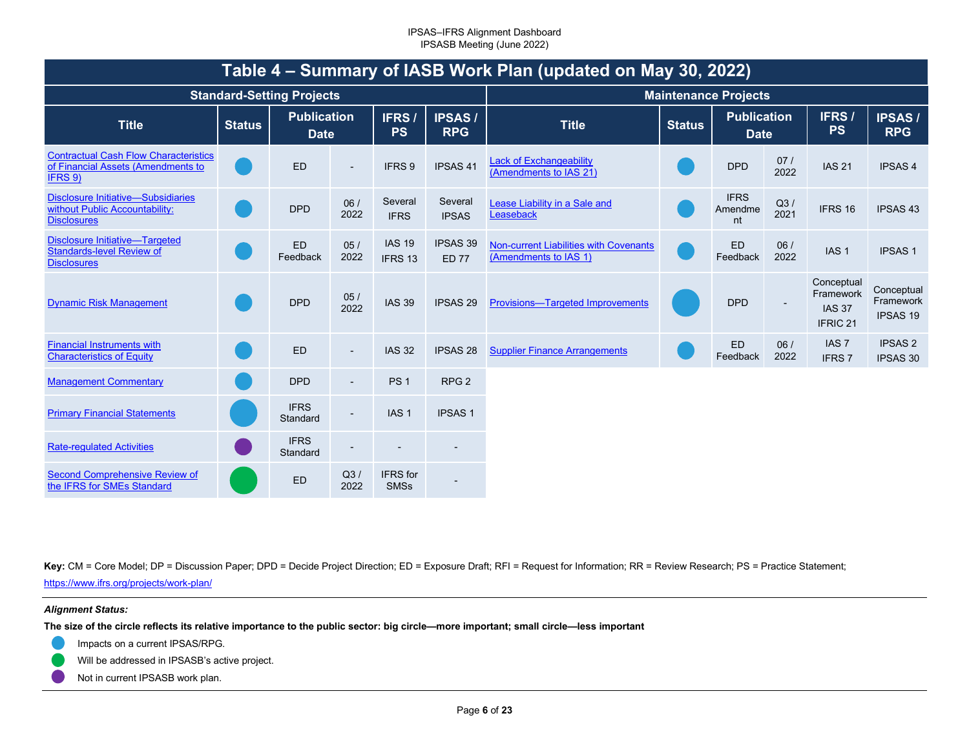<span id="page-5-0"></span>

| Table 4 – Summary of IASB Work Plan (updated on May 30, 2022)                                     |               |                                   |                          |                          |                             |                                                                 |               |                                   |             |                                                                 |                                            |
|---------------------------------------------------------------------------------------------------|---------------|-----------------------------------|--------------------------|--------------------------|-----------------------------|-----------------------------------------------------------------|---------------|-----------------------------------|-------------|-----------------------------------------------------------------|--------------------------------------------|
|                                                                                                   |               | <b>Standard-Setting Projects</b>  |                          |                          | <b>Maintenance Projects</b> |                                                                 |               |                                   |             |                                                                 |                                            |
| <b>Title</b>                                                                                      | <b>Status</b> | <b>Publication</b><br><b>Date</b> |                          | IFRS/<br><b>PS</b>       | <b>IPSAS/</b><br><b>RPG</b> | <b>Title</b>                                                    | <b>Status</b> | <b>Publication</b><br><b>Date</b> |             | IFRS/<br><b>PS</b>                                              | <b>IPSAS/</b><br><b>RPG</b>                |
| <b>Contractual Cash Flow Characteristics</b><br>of Financial Assets (Amendments to<br>IFRS 9)     |               | <b>ED</b>                         | $\blacksquare$           | IFRS 9                   | <b>IPSAS 41</b>             | <b>Lack of Exchangeability</b><br>(Amendments to IAS 21)        |               | <b>DPD</b>                        | 07/<br>2022 | <b>IAS 21</b>                                                   | <b>IPSAS4</b>                              |
| <b>Disclosure Initiative-Subsidiaries</b><br>without Public Accountability:<br><b>Disclosures</b> |               | <b>DPD</b>                        | 06/<br>2022              | Several<br><b>IFRS</b>   | Several<br><b>IPSAS</b>     | Lease Liability in a Sale and<br>Leaseback                      |               | <b>IFRS</b><br>Amendme<br>nt      | Q3/<br>2021 | IFRS 16                                                         | <b>IPSAS 43</b>                            |
| <b>Disclosure Initiative-Targeted</b><br><b>Standards-level Review of</b><br><b>Disclosures</b>   |               | <b>ED</b><br>Feedback             | 05/<br>2022              | <b>IAS 19</b><br>IFRS 13 | IPSAS 39<br><b>ED 77</b>    | Non-current Liabilities with Covenants<br>(Amendments to IAS 1) |               | <b>ED</b><br>Feedback             | 06/<br>2022 | IAS <sub>1</sub>                                                | <b>IPSAS1</b>                              |
| <b>Dynamic Risk Management</b>                                                                    |               | <b>DPD</b>                        | 05/<br>2022              | <b>IAS 39</b>            | <b>IPSAS 29</b>             | Provisions-Targeted Improvements                                |               | <b>DPD</b>                        |             | Conceptual<br>Framework<br><b>IAS 37</b><br>IFRIC <sub>21</sub> | Conceptual<br>Framework<br><b>IPSAS 19</b> |
| <b>Financial Instruments with</b><br><b>Characteristics of Equity</b>                             |               | <b>ED</b>                         | $\overline{\phantom{a}}$ | <b>IAS 32</b>            | <b>IPSAS 28</b>             | <b>Supplier Finance Arrangements</b>                            |               | <b>ED</b><br>Feedback             | 06/<br>2022 | IAS <sub>7</sub><br><b>IFRS7</b>                                | <b>IPSAS 2</b><br><b>IPSAS 30</b>          |
| <b>Management Commentary</b>                                                                      |               | <b>DPD</b>                        |                          | PS <sub>1</sub>          | RPG <sub>2</sub>            |                                                                 |               |                                   |             |                                                                 |                                            |
| <b>Primary Financial Statements</b>                                                               |               | <b>IFRS</b><br>Standard           |                          | IAS <sub>1</sub>         | <b>IPSAS1</b>               |                                                                 |               |                                   |             |                                                                 |                                            |
| <b>Rate-regulated Activities</b>                                                                  |               | <b>IFRS</b><br>Standard           |                          |                          |                             |                                                                 |               |                                   |             |                                                                 |                                            |
| <b>Second Comprehensive Review of</b><br>the IFRS for SMEs Standard                               |               | <b>ED</b>                         | Q3/<br>2022              | IFRS for<br><b>SMSs</b>  |                             |                                                                 |               |                                   |             |                                                                 |                                            |

Key: CM = Core Model; DP = Discussion Paper; DPD = Decide Project Direction; ED = Exposure Draft; RFI = Request for Information; RR = Review Research; PS = Practice Statement;

[https://www](https://www.ifrs.org/projects/work-plan/).[ifrs](https://www.ifrs.org/projects/work-plan/).[org/projects/work](https://www.ifrs.org/projects/work-plan/)-[plan/](https://www.ifrs.org/projects/work-plan/)

### *Alignment Status:*

**The size of the circle reflects its relative importance to the public sector: big circle—more important; small circle—less important** 

- Impacts on a current IPSAS/RPG.
- Will be addressed in IPSASB's active project.
- Not in current IPSASB work plan.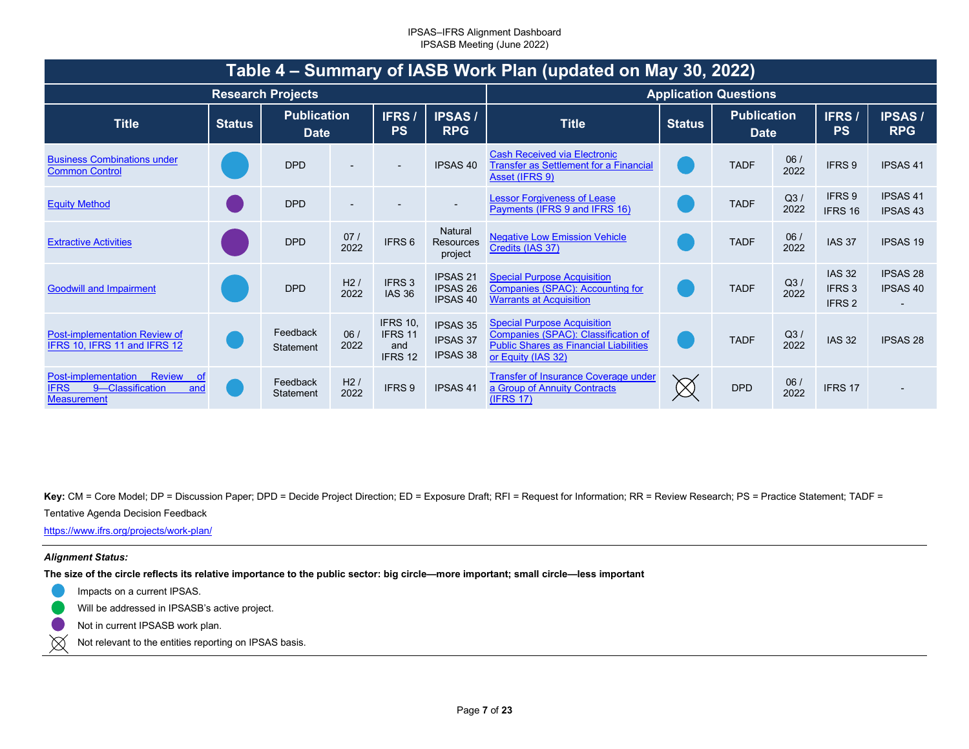|                                                                                                             | Table 4 – Summary of IASB Work Plan (updated on May 30, 2022) |                                   |             |                                              |                                                       |                                                                                                                                                  |               |                                   |             |                                                         |                                    |
|-------------------------------------------------------------------------------------------------------------|---------------------------------------------------------------|-----------------------------------|-------------|----------------------------------------------|-------------------------------------------------------|--------------------------------------------------------------------------------------------------------------------------------------------------|---------------|-----------------------------------|-------------|---------------------------------------------------------|------------------------------------|
|                                                                                                             |                                                               | <b>Research Projects</b>          |             |                                              |                                                       |                                                                                                                                                  |               | <b>Application Questions</b>      |             |                                                         |                                    |
| <b>Title</b>                                                                                                | <b>Status</b>                                                 | <b>Publication</b><br><b>Date</b> |             | <b>IFRS</b><br><b>PS</b>                     | <b>IPSAS/</b><br><b>RPG</b>                           | <b>Title</b>                                                                                                                                     | <b>Status</b> | <b>Publication</b><br><b>Date</b> |             | <b>IFRS/</b><br><b>PS</b>                               | <b>IPSAS/</b><br><b>RPG</b>        |
| <b>Business Combinations under</b><br><b>Common Control</b>                                                 |                                                               | <b>DPD</b>                        |             |                                              | <b>IPSAS 40</b>                                       | <b>Cash Received via Electronic</b><br><b>Transfer as Settlement for a Financial</b><br>Asset (IFRS 9)                                           |               | <b>TADF</b>                       | 06/<br>2022 | IFRS 9                                                  | <b>IPSAS 41</b>                    |
| <b>Equity Method</b>                                                                                        |                                                               | <b>DPD</b>                        |             |                                              | $\overline{\phantom{a}}$                              | <b>Lessor Forgiveness of Lease</b><br>Payments (IFRS 9 and IFRS 16)                                                                              |               | <b>TADF</b>                       | Q3/<br>2022 | IFRS 9<br>IFRS 16                                       | <b>IPSAS 41</b><br><b>IPSAS 43</b> |
| <b>Extractive Activities</b>                                                                                |                                                               | <b>DPD</b>                        | 07/<br>2022 | IFRS 6                                       | Natural<br><b>Resources</b><br>project                | <b>Negative Low Emission Vehicle</b><br>Credits (IAS 37)                                                                                         |               | <b>TADF</b>                       | 06/<br>2022 | <b>IAS 37</b>                                           | <b>IPSAS 19</b>                    |
| <b>Goodwill and Impairment</b>                                                                              |                                                               | <b>DPD</b>                        | H2/<br>2022 | IFRS <sub>3</sub><br><b>IAS 36</b>           | <b>IPSAS 21</b><br><b>IPSAS 26</b><br><b>IPSAS 40</b> | <b>Special Purpose Acquisition</b><br>Companies (SPAC): Accounting for<br><b>Warrants at Acquisition</b>                                         |               | <b>TADF</b>                       | Q3/<br>2022 | <b>IAS 32</b><br>IFRS <sub>3</sub><br>IFRS <sub>2</sub> | <b>IPSAS 28</b><br><b>IPSAS 40</b> |
| Post-implementation Review of<br>IFRS 10, IFRS 11 and IFRS 12                                               |                                                               | Feedback<br>Statement             | 06/<br>2022 | <b>IFRS 10,</b><br>IFRS 11<br>and<br>IFRS 12 | <b>IPSAS 35</b><br><b>IPSAS 37</b><br><b>IPSAS 38</b> | <b>Special Purpose Acquisition</b><br>Companies (SPAC): Classification of<br><b>Public Shares as Financial Liabilities</b><br>or Equity (IAS 32) |               | <b>TADF</b>                       | Q3/<br>2022 | <b>IAS 32</b>                                           | <b>IPSAS 28</b>                    |
| <b>Review</b><br>Post-implementation<br>_of<br><b>IFRS</b><br>9-Classification<br>and<br><b>Measurement</b> |                                                               | Feedback<br>Statement             | H2/<br>2022 | IFRS 9                                       | <b>IPSAS41</b>                                        | <b>Transfer of Insurance Coverage under</b><br>a Group of Annuity Contracts<br>(IFRS 17)                                                         |               | <b>DPD</b>                        | 06/<br>2022 | IFRS 17                                                 |                                    |

Key: CM = Core Model; DP = Discussion Paper; DPD = Decide Project Direction; ED = Exposure Draft; RFI = Request for Information; RR = Review Research; PS = Practice Statement; TADF =

### Tentative Agenda Decision Feedback

[https://www](https://www.ifrs.org/projects/work-plan/).[ifrs](https://www.ifrs.org/projects/work-plan/).[org/projects/work](https://www.ifrs.org/projects/work-plan/)-[plan/](https://www.ifrs.org/projects/work-plan/)

### *Alignment Status:*

**The size of the circle reflects its relative importance to the public sector: big circle—more important; small circle—less important** 

- Impacts on a current IPSAS.
- Will be addressed in IPSASB's active project.
- Not in current IPSASB work plan.
- $\boxtimes$ Not relevant to the entities reporting on IPSAS basis.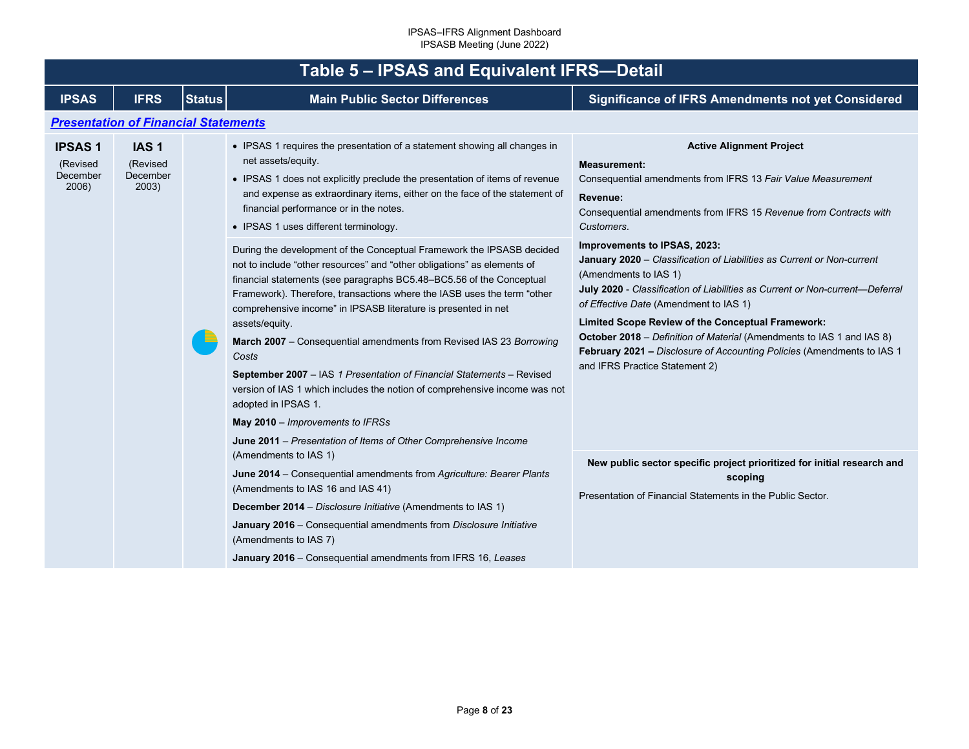<span id="page-7-1"></span><span id="page-7-0"></span>

|                                                | Table 5 - IPSAS and Equivalent IFRS-Detail        |               |                                                                                                                                                                                                                                                                                                                                                                                                                                                                                                                                                                                                                                                                                                                                                              |                                                                                                                                                                                                                                                                                                                                                                                                                                                                                                                   |  |  |  |  |  |  |  |
|------------------------------------------------|---------------------------------------------------|---------------|--------------------------------------------------------------------------------------------------------------------------------------------------------------------------------------------------------------------------------------------------------------------------------------------------------------------------------------------------------------------------------------------------------------------------------------------------------------------------------------------------------------------------------------------------------------------------------------------------------------------------------------------------------------------------------------------------------------------------------------------------------------|-------------------------------------------------------------------------------------------------------------------------------------------------------------------------------------------------------------------------------------------------------------------------------------------------------------------------------------------------------------------------------------------------------------------------------------------------------------------------------------------------------------------|--|--|--|--|--|--|--|
| <b>IPSAS</b>                                   | <b>IFRS</b>                                       | <b>Status</b> | <b>Main Public Sector Differences</b>                                                                                                                                                                                                                                                                                                                                                                                                                                                                                                                                                                                                                                                                                                                        | <b>Significance of IFRS Amendments not yet Considered</b>                                                                                                                                                                                                                                                                                                                                                                                                                                                         |  |  |  |  |  |  |  |
|                                                | <b>Presentation of Financial Statements</b>       |               |                                                                                                                                                                                                                                                                                                                                                                                                                                                                                                                                                                                                                                                                                                                                                              |                                                                                                                                                                                                                                                                                                                                                                                                                                                                                                                   |  |  |  |  |  |  |  |
| <b>IPSAS1</b><br>(Revised<br>December<br>2006) | IAS <sub>1</sub><br>(Revised<br>December<br>2003) |               | • IPSAS 1 requires the presentation of a statement showing all changes in<br>net assets/equity.<br>• IPSAS 1 does not explicitly preclude the presentation of items of revenue<br>and expense as extraordinary items, either on the face of the statement of<br>financial performance or in the notes.<br>• IPSAS 1 uses different terminology.                                                                                                                                                                                                                                                                                                                                                                                                              | <b>Active Alignment Project</b><br><b>Measurement:</b><br>Consequential amendments from IFRS 13 Fair Value Measurement<br>Revenue:<br>Consequential amendments from IFRS 15 Revenue from Contracts with<br>Customers.                                                                                                                                                                                                                                                                                             |  |  |  |  |  |  |  |
|                                                |                                                   |               | During the development of the Conceptual Framework the IPSASB decided<br>not to include "other resources" and "other obligations" as elements of<br>financial statements (see paragraphs BC5.48-BC5.56 of the Conceptual<br>Framework). Therefore, transactions where the IASB uses the term "other<br>comprehensive income" in IPSASB literature is presented in net<br>assets/equity.<br>March 2007 - Consequential amendments from Revised IAS 23 Borrowing<br>Costs<br>September 2007 - IAS 1 Presentation of Financial Statements - Revised<br>version of IAS 1 which includes the notion of comprehensive income was not<br>adopted in IPSAS 1.<br>May 2010 - Improvements to IFRSs<br>June 2011 – Presentation of Items of Other Comprehensive Income | Improvements to IPSAS, 2023:<br>January 2020 - Classification of Liabilities as Current or Non-current<br>(Amendments to IAS 1)<br>July 2020 - Classification of Liabilities as Current or Non-current-Deferral<br>of Effective Date (Amendment to IAS 1)<br><b>Limited Scope Review of the Conceptual Framework:</b><br><b>October 2018</b> – Definition of Material (Amendments to IAS 1 and IAS 8)<br>February 2021 - Disclosure of Accounting Policies (Amendments to IAS 1<br>and IFRS Practice Statement 2) |  |  |  |  |  |  |  |
|                                                |                                                   |               | (Amendments to IAS 1)<br>June 2014 - Consequential amendments from Agriculture: Bearer Plants<br>(Amendments to IAS 16 and IAS 41)<br>December 2014 - Disclosure Initiative (Amendments to IAS 1)<br>January 2016 - Consequential amendments from Disclosure Initiative<br>(Amendments to IAS 7)                                                                                                                                                                                                                                                                                                                                                                                                                                                             | New public sector specific project prioritized for initial research and<br>scoping<br>Presentation of Financial Statements in the Public Sector.                                                                                                                                                                                                                                                                                                                                                                  |  |  |  |  |  |  |  |
|                                                |                                                   |               | January 2016 - Consequential amendments from IFRS 16, Leases                                                                                                                                                                                                                                                                                                                                                                                                                                                                                                                                                                                                                                                                                                 |                                                                                                                                                                                                                                                                                                                                                                                                                                                                                                                   |  |  |  |  |  |  |  |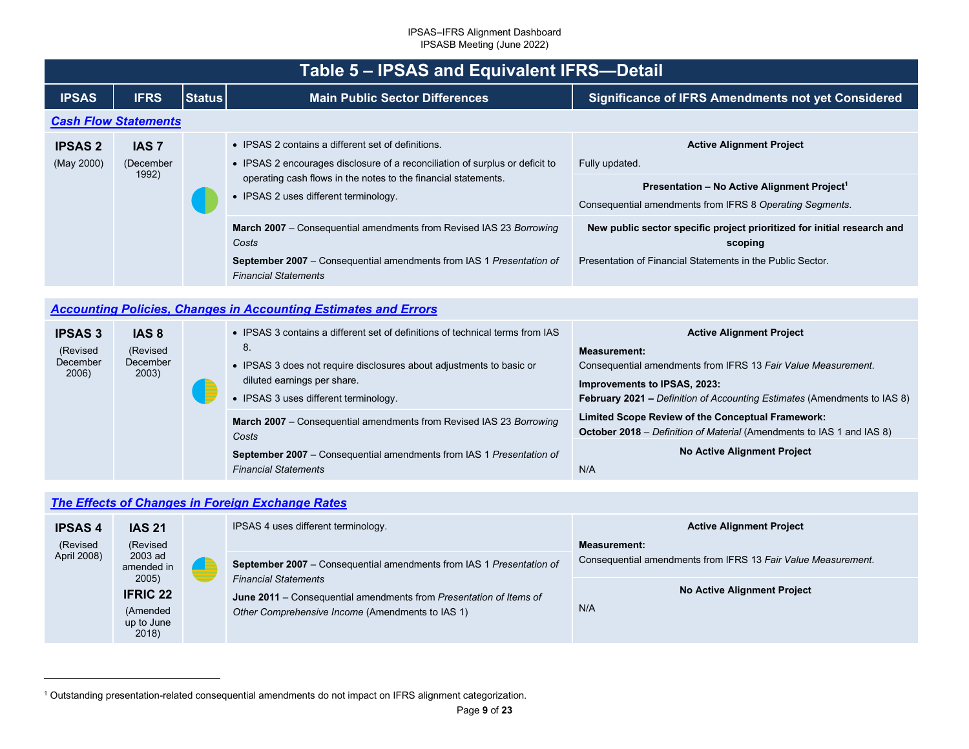<span id="page-8-3"></span><span id="page-8-2"></span>

|                                                  | <b>Table 5 - IPSAS and Equivalent IFRS-Detail</b>  |               |                                                                                                                                                             |                                                                                                                         |                                                                                                                     |  |  |  |
|--------------------------------------------------|----------------------------------------------------|---------------|-------------------------------------------------------------------------------------------------------------------------------------------------------------|-------------------------------------------------------------------------------------------------------------------------|---------------------------------------------------------------------------------------------------------------------|--|--|--|
| <b>IPSAS</b>                                     | <b>IFRS</b>                                        | <b>Status</b> | <b>Main Public Sector Differences</b>                                                                                                                       | <b>Significance of IFRS Amendments not yet Considered</b>                                                               |                                                                                                                     |  |  |  |
|                                                  | <b>Cash Flow Statements</b>                        |               |                                                                                                                                                             |                                                                                                                         |                                                                                                                     |  |  |  |
| <b>IPSAS 2</b><br>(May 2000)                     | <b>IAS 7</b><br>(December<br>1992)                 |               | • IPSAS 2 contains a different set of definitions.<br>• IPSAS 2 encourages disclosure of a reconciliation of surplus or deficit to                          | <b>Active Alignment Project</b><br>Fully updated.                                                                       |                                                                                                                     |  |  |  |
|                                                  |                                                    |               |                                                                                                                                                             | operating cash flows in the notes to the financial statements.<br>• IPSAS 2 uses different terminology.                 | Presentation - No Active Alignment Project <sup>1</sup><br>Consequential amendments from IFRS 8 Operating Segments. |  |  |  |
|                                                  |                                                    |               | <b>March 2007</b> – Consequential amendments from Revised IAS 23 Borrowing<br>Costs                                                                         | New public sector specific project prioritized for initial research and<br>scoping                                      |                                                                                                                     |  |  |  |
|                                                  |                                                    |               | <b>September 2007</b> – Consequential amendments from IAS 1 Presentation of<br><b>Financial Statements</b>                                                  | Presentation of Financial Statements in the Public Sector.                                                              |                                                                                                                     |  |  |  |
|                                                  |                                                    |               |                                                                                                                                                             |                                                                                                                         |                                                                                                                     |  |  |  |
|                                                  |                                                    |               | <b>Accounting Policies, Changes in Accounting Estimates and Errors</b>                                                                                      |                                                                                                                         |                                                                                                                     |  |  |  |
| <b>IPSAS 3</b><br>(Revised<br>December<br>0.0001 | IAS <sub>8</sub><br>(Revised<br>December<br>0.0001 |               | • IPSAS 3 contains a different set of definitions of technical terms from IAS<br>8.<br>• IPSAS 3 does not require disclosures about adjustments to basic or | <b>Active Alignment Project</b><br><b>Measurement:</b><br>Consequential amendments from IFRS 13 Fair Value Measurement. |                                                                                                                     |  |  |  |

<span id="page-8-1"></span><span id="page-8-0"></span>**Improvements to IPSAS, 2023:** 

N/A

**February 2021 –** *Definition of Accounting Estimates* (Amendments to IAS 8)

**No Active Alignment Project** 

**October 2018** – *Definition of Material* (Amendments to IAS 1 and IAS 8)

**Limited Scope Review of the Conceptual Framework:** 

## *[The Effects of Changes in Foreign Exchange Rates](#page-2-4)*

*Costs*

2006)

2003)

| <b>IPSAS4</b><br>(Revised | <b>IAS 21</b><br>(Revised<br>2003 ad<br>amended in<br>2005) |  | IPSAS 4 uses different terminology.                                                                                                                                                                                           | <b>Active Alignment Project</b><br><b>Measurement:</b><br>Consequential amendments from IFRS 13 Fair Value Measurement. |
|---------------------------|-------------------------------------------------------------|--|-------------------------------------------------------------------------------------------------------------------------------------------------------------------------------------------------------------------------------|-------------------------------------------------------------------------------------------------------------------------|
| April 2008)               |                                                             |  | September 2007 - Consequential amendments from IAS 1 Presentation of<br><b>Financial Statements</b><br>June 2011 – Consequential amendments from Presentation of Items of<br>Other Comprehensive Income (Amendments to IAS 1) |                                                                                                                         |
|                           | <b>IFRIC 22</b><br>(Amended<br>up to June<br>2018)          |  |                                                                                                                                                                                                                               | No Active Alignment Project<br>N/A                                                                                      |

diluted earnings per share. • IPSAS 3 uses different terminology.

*Financial Statements* 

**March 2007** – Consequential amendments from Revised IAS 23 *Borrowing* 

**September 2007** – Consequential amendments from IAS 1 *Presentation of* 

<sup>1</sup> Outstanding presentation-related consequential amendments do not impact on IFRS alignment categorization.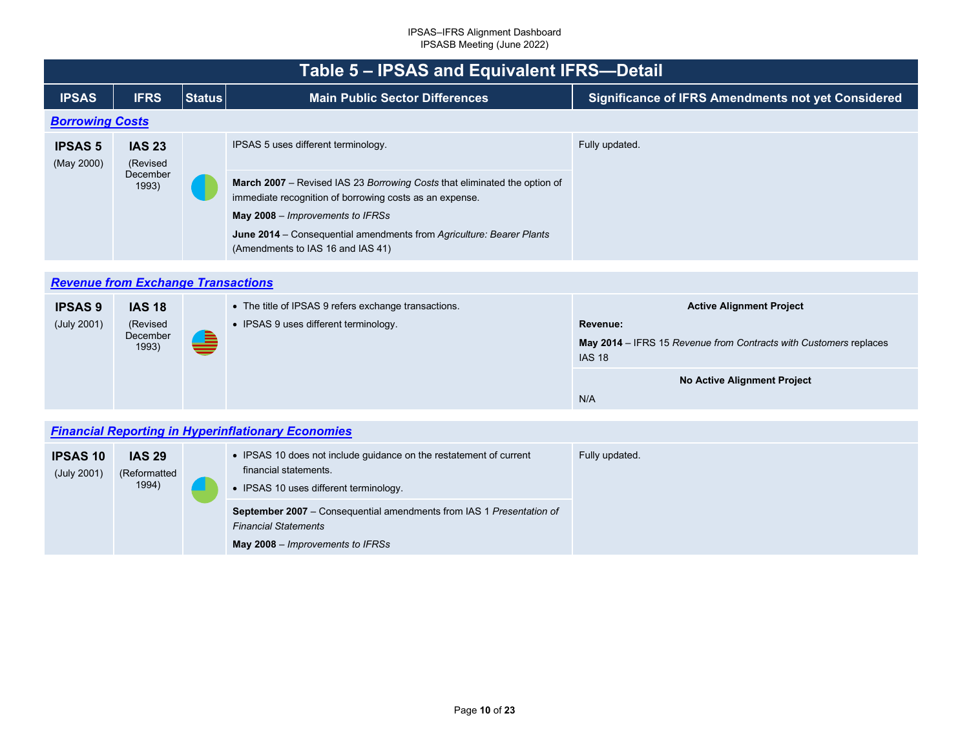<span id="page-9-2"></span><span id="page-9-1"></span><span id="page-9-0"></span>

|                              | Table 5 – IPSAS and Equivalent IFRS-Detail     |               |                                                                                                                                                                                                                                                                                                                              |                                                           |  |  |  |
|------------------------------|------------------------------------------------|---------------|------------------------------------------------------------------------------------------------------------------------------------------------------------------------------------------------------------------------------------------------------------------------------------------------------------------------------|-----------------------------------------------------------|--|--|--|
| <b>IPSAS</b>                 | <b>IFRS</b>                                    | <b>Status</b> | <b>Main Public Sector Differences</b>                                                                                                                                                                                                                                                                                        | <b>Significance of IFRS Amendments not yet Considered</b> |  |  |  |
|                              | <b>Borrowing Costs</b>                         |               |                                                                                                                                                                                                                                                                                                                              |                                                           |  |  |  |
| <b>IPSAS 5</b><br>(May 2000) | <b>IAS 23</b><br>(Revised<br>December<br>1993) |               | IPSAS 5 uses different terminology.<br>March 2007 – Revised IAS 23 Borrowing Costs that eliminated the option of<br>immediate recognition of borrowing costs as an expense.<br>May 2008 – Improvements to IFRSs<br>June 2014 – Consequential amendments from Agriculture: Bearer Plants<br>(Amendments to IAS 16 and IAS 41) | Fully updated.                                            |  |  |  |

## *[Revenue from Exchange Transactions](#page-2-6)*

| <b>IPSAS 9</b> | <b>IAS 18</b>     |   | • The title of IPSAS 9 refers exchange transactions. | <b>Active Alignment Project</b>                                                    |
|----------------|-------------------|---|------------------------------------------------------|------------------------------------------------------------------------------------|
| (July 2001)    | (Revised          | ∍ | • IPSAS 9 uses different terminology.                | Revenue:                                                                           |
|                | December<br>1993) |   |                                                      | May 2014 – IFRS 15 Revenue from Contracts with Customers replaces<br><b>IAS 18</b> |
|                |                   |   |                                                      | No Active Alignment Project                                                        |
|                |                   |   |                                                      | N/A                                                                                |

## *[Financial Reporting in Hyperinflationary Economies](#page-2-7)*

| <b>IPSAS 10</b><br>(July 2001) | <b>IAS 29</b><br>(Reformatted<br>1994) |  | • IPSAS 10 does not include guidance on the restatement of current<br>financial statements.<br>• IPSAS 10 uses different terminology.          | Fully updated. |
|--------------------------------|----------------------------------------|--|------------------------------------------------------------------------------------------------------------------------------------------------|----------------|
|                                |                                        |  | <b>September 2007</b> – Consequential amendments from IAS 1 Presentation of<br><b>Financial Statements</b><br>May 2008 – Improvements to IFRSs |                |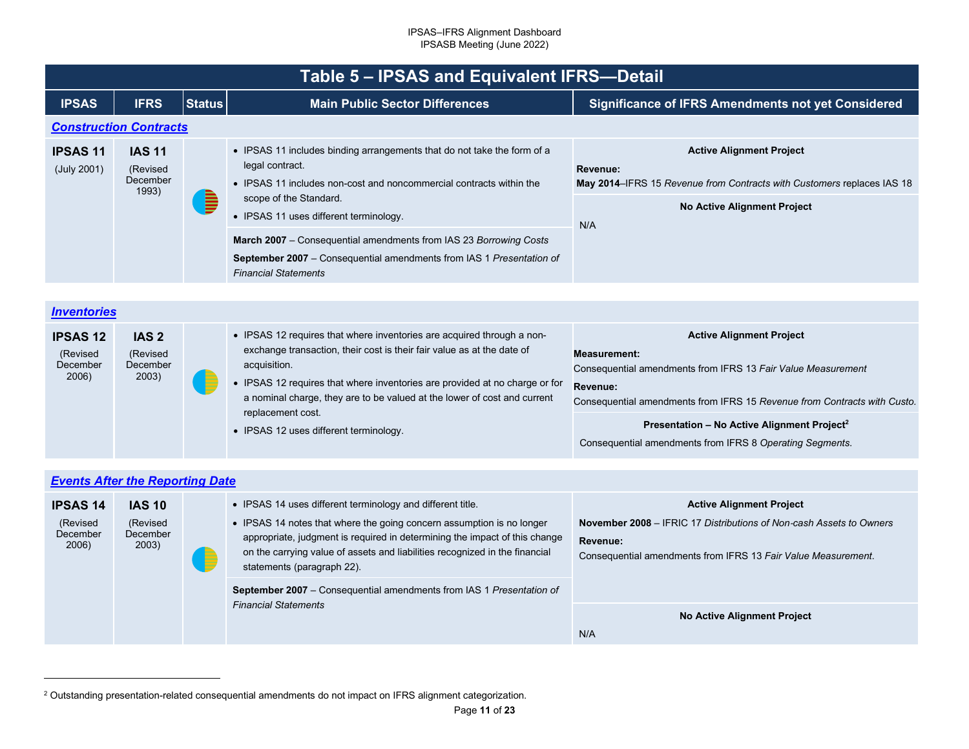<span id="page-10-2"></span><span id="page-10-1"></span><span id="page-10-0"></span>

|                                | Table 5 - IPSAS and Equivalent IFRS-Detail     |               |                                                                                                                                                                                                                                       |                                                                                                                                                                           |  |  |
|--------------------------------|------------------------------------------------|---------------|---------------------------------------------------------------------------------------------------------------------------------------------------------------------------------------------------------------------------------------|---------------------------------------------------------------------------------------------------------------------------------------------------------------------------|--|--|
| <b>IPSAS</b>                   | <b>IFRS</b>                                    | <b>Status</b> | <b>Main Public Sector Differences</b>                                                                                                                                                                                                 | <b>Significance of IFRS Amendments not yet Considered</b>                                                                                                                 |  |  |
| <b>Construction Contracts</b>  |                                                |               |                                                                                                                                                                                                                                       |                                                                                                                                                                           |  |  |
| <b>IPSAS 11</b><br>(July 2001) | <b>IAS 11</b><br>(Revised<br>December<br>1993) |               | • IPSAS 11 includes binding arrangements that do not take the form of a<br>legal contract.<br>• IPSAS 11 includes non-cost and noncommercial contracts within the<br>scope of the Standard.<br>• IPSAS 11 uses different terminology. | <b>Active Alignment Project</b><br>Revenue:<br><b>May 2014–IFRS 15 Revenue from Contracts with Customers replaces IAS 18</b><br><b>No Active Alignment Project</b><br>N/A |  |  |
|                                |                                                |               | <b>March 2007</b> – Consequential amendments from IAS 23 Borrowing Costs<br>September 2007 - Consequential amendments from IAS 1 Presentation of<br><b>Financial Statements</b>                                                       |                                                                                                                                                                           |  |  |

## *[Inventories](#page-2-9)*

| <b>IPSAS 12</b> | IAS <sub>2</sub> |  | • IPSAS 12 requires that where inventories are acquired through a non-      | <b>Active Alignment Project</b>                                          |
|-----------------|------------------|--|-----------------------------------------------------------------------------|--------------------------------------------------------------------------|
| (Revised        | (Revised         |  | exchange transaction, their cost is their fair value as at the date of      | Measurement:                                                             |
| December        | December         |  | acquisition.                                                                | Consequential amendments from IFRS 13 Fair Value Measurement             |
| 2006)           | 2003)            |  | • IPSAS 12 requires that where inventories are provided at no charge or for | <b>Revenue:</b>                                                          |
|                 |                  |  | a nominal charge, they are to be valued at the lower of cost and current    | Consequential amendments from IFRS 15 Revenue from Contracts with Custo. |
|                 |                  |  | replacement cost.<br>• IPSAS 12 uses different terminology.                 | Presentation - No Active Alignment Project <sup>2</sup>                  |
|                 |                  |  |                                                                             | Consequential amendments from IFRS 8 Operating Segments.                 |

| <b>Events After the Reporting Date</b>           |                                                |   |                                                                                                                                                                                                                                                                                                                                |                                                                                                                                                                                            |  |
|--------------------------------------------------|------------------------------------------------|---|--------------------------------------------------------------------------------------------------------------------------------------------------------------------------------------------------------------------------------------------------------------------------------------------------------------------------------|--------------------------------------------------------------------------------------------------------------------------------------------------------------------------------------------|--|
| <b>IPSAS 14</b><br>(Revised<br>December<br>2006) | <b>IAS 10</b><br>(Revised<br>December<br>2003) | ▐ | • IPSAS 14 uses different terminology and different title.<br>• IPSAS 14 notes that where the going concern assumption is no longer<br>appropriate, judgment is required in determining the impact of this change<br>on the carrying value of assets and liabilities recognized in the financial<br>statements (paragraph 22). | <b>Active Alignment Project</b><br><b>November 2008</b> – IFRIC 17 Distributions of Non-cash Assets to Owners<br>Revenue:<br>Consequential amendments from IFRS 13 Fair Value Measurement. |  |
|                                                  |                                                |   | <b>September 2007</b> – Consequential amendments from IAS 1 Presentation of<br><b>Financial Statements</b>                                                                                                                                                                                                                     |                                                                                                                                                                                            |  |
|                                                  |                                                |   |                                                                                                                                                                                                                                                                                                                                | No Active Alignment Project                                                                                                                                                                |  |
|                                                  |                                                |   |                                                                                                                                                                                                                                                                                                                                | N/A                                                                                                                                                                                        |  |

<sup>2</sup> Outstanding presentation-related consequential amendments do not impact on IFRS alignment categorization.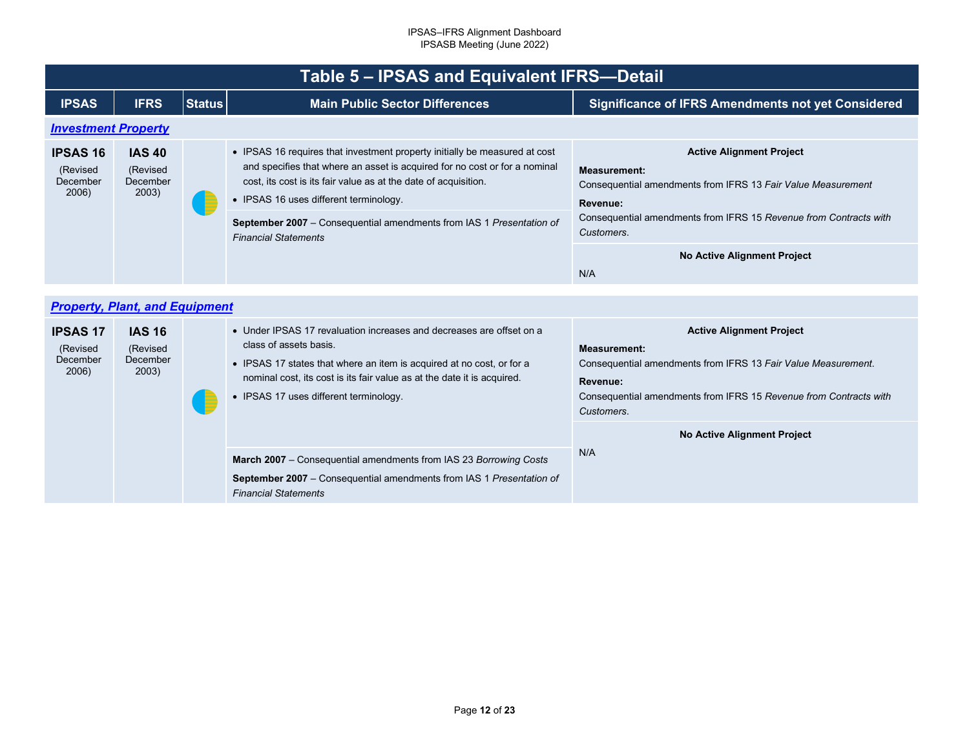<span id="page-11-1"></span><span id="page-11-0"></span>

|                                                  | Table 5 - IPSAS and Equivalent IFRS-Detail     |               |                                                                                                                                                                                                                                                                                              |                                                                                                                                                                                                                        |  |  |
|--------------------------------------------------|------------------------------------------------|---------------|----------------------------------------------------------------------------------------------------------------------------------------------------------------------------------------------------------------------------------------------------------------------------------------------|------------------------------------------------------------------------------------------------------------------------------------------------------------------------------------------------------------------------|--|--|
| <b>IPSAS</b>                                     | <b>IFRS</b>                                    | <b>Status</b> | <b>Main Public Sector Differences</b>                                                                                                                                                                                                                                                        | <b>Significance of IFRS Amendments not yet Considered</b>                                                                                                                                                              |  |  |
| <b>Investment Property</b>                       |                                                |               |                                                                                                                                                                                                                                                                                              |                                                                                                                                                                                                                        |  |  |
| <b>IPSAS 16</b><br>(Revised<br>December<br>2006) | <b>IAS 40</b><br>(Revised<br>December<br>2003) |               | • IPSAS 16 requires that investment property initially be measured at cost<br>and specifies that where an asset is acquired for no cost or for a nominal<br>cost, its cost is its fair value as at the date of acquisition.<br>• IPSAS 16 uses different terminology.                        | <b>Active Alignment Project</b><br><b>Measurement:</b><br>Consequential amendments from IFRS 13 Fair Value Measurement<br>Revenue:                                                                                     |  |  |
|                                                  |                                                |               | September 2007 - Consequential amendments from IAS 1 Presentation of<br><b>Financial Statements</b>                                                                                                                                                                                          | Consequential amendments from IFRS 15 Revenue from Contracts with<br>Customers.                                                                                                                                        |  |  |
|                                                  |                                                |               |                                                                                                                                                                                                                                                                                              | <b>No Active Alignment Project</b><br>N/A                                                                                                                                                                              |  |  |
|                                                  |                                                |               |                                                                                                                                                                                                                                                                                              |                                                                                                                                                                                                                        |  |  |
| <b>Property, Plant, and Equipment</b>            |                                                |               |                                                                                                                                                                                                                                                                                              |                                                                                                                                                                                                                        |  |  |
| <b>IPSAS 17</b><br>(Revised<br>December<br>2006) | <b>IAS 16</b><br>(Revised<br>December<br>2003) |               | • Under IPSAS 17 revaluation increases and decreases are offset on a<br>class of assets basis.<br>• IPSAS 17 states that where an item is acquired at no cost, or for a<br>nominal cost, its cost is its fair value as at the date it is acquired.<br>• IPSAS 17 uses different terminology. | <b>Active Alignment Project</b><br><b>Measurement:</b><br>Consequential amendments from IFRS 13 Fair Value Measurement.<br>Revenue:<br>Consequential amendments from IFRS 15 Revenue from Contracts with<br>Customers. |  |  |
|                                                  |                                                |               | March 2007 - Consequential amendments from IAS 23 Borrowing Costs<br>September 2007 - Consequential amendments from IAS 1 Presentation of<br><b>Financial Statements</b>                                                                                                                     | <b>No Active Alignment Project</b>                                                                                                                                                                                     |  |  |
|                                                  |                                                |               |                                                                                                                                                                                                                                                                                              | N/A                                                                                                                                                                                                                    |  |  |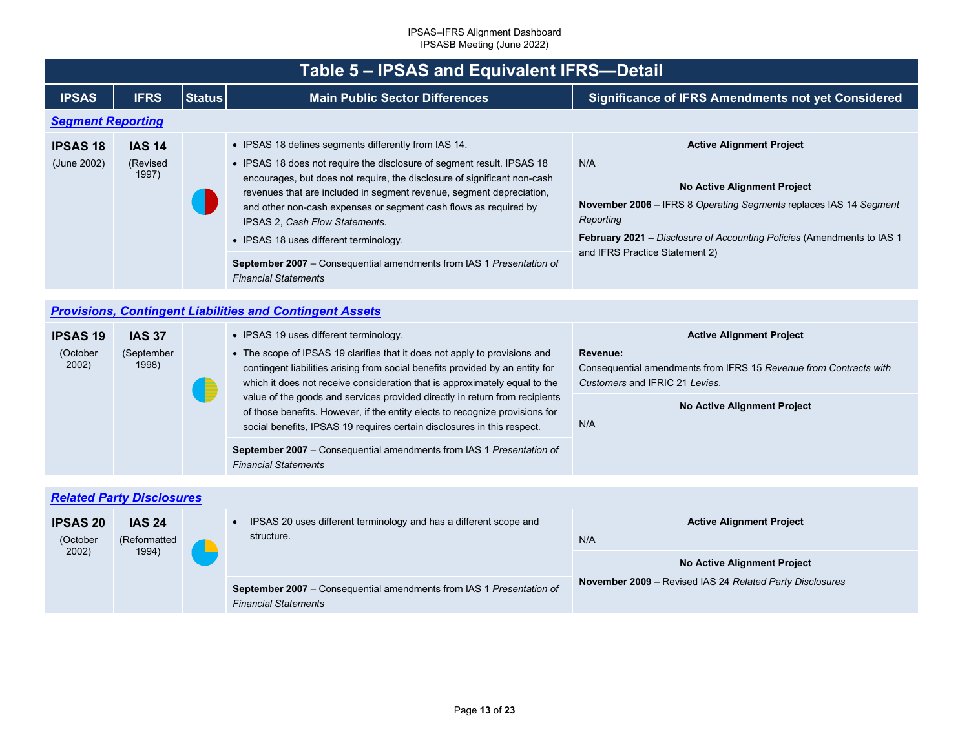<span id="page-12-2"></span><span id="page-12-1"></span><span id="page-12-0"></span>

|                                      | Table 5 - IPSAS and Equivalent IFRS-Detail |               |                                                                                                                                                                                                                                                                                                                                                                                                                                                                                                                                           |                                                                                                                                                                                                                                                                     |  |  |
|--------------------------------------|--------------------------------------------|---------------|-------------------------------------------------------------------------------------------------------------------------------------------------------------------------------------------------------------------------------------------------------------------------------------------------------------------------------------------------------------------------------------------------------------------------------------------------------------------------------------------------------------------------------------------|---------------------------------------------------------------------------------------------------------------------------------------------------------------------------------------------------------------------------------------------------------------------|--|--|
| <b>IPSAS</b>                         | <b>IFRS</b>                                | <b>Status</b> | <b>Main Public Sector Differences</b>                                                                                                                                                                                                                                                                                                                                                                                                                                                                                                     | <b>Significance of IFRS Amendments not yet Considered</b>                                                                                                                                                                                                           |  |  |
|                                      | <b>Segment Reporting</b>                   |               |                                                                                                                                                                                                                                                                                                                                                                                                                                                                                                                                           |                                                                                                                                                                                                                                                                     |  |  |
| <b>IPSAS 18</b><br>(June 2002)       | <b>IAS 14</b><br>(Revised<br>1997)         |               | • IPSAS 18 defines segments differently from IAS 14.<br>• IPSAS 18 does not require the disclosure of segment result. IPSAS 18<br>encourages, but does not require, the disclosure of significant non-cash<br>revenues that are included in segment revenue, segment depreciation,<br>and other non-cash expenses or segment cash flows as required by<br>IPSAS 2, Cash Flow Statements.<br>• IPSAS 18 uses different terminology.<br>September 2007 - Consequential amendments from IAS 1 Presentation of<br><b>Financial Statements</b> | <b>Active Alignment Project</b><br>N/A<br>No Active Alignment Project<br>November 2006 - IFRS 8 Operating Segments replaces IAS 14 Segment<br>Reporting<br>February 2021 - Disclosure of Accounting Policies (Amendments to IAS 1<br>and IFRS Practice Statement 2) |  |  |
|                                      |                                            |               |                                                                                                                                                                                                                                                                                                                                                                                                                                                                                                                                           |                                                                                                                                                                                                                                                                     |  |  |
|                                      |                                            |               | <b>Provisions, Contingent Liabilities and Contingent Assets</b>                                                                                                                                                                                                                                                                                                                                                                                                                                                                           |                                                                                                                                                                                                                                                                     |  |  |
| <b>IPSAS 19</b><br>(October<br>2002) | <b>IAS 37</b><br>(September<br>1998)       |               | • IPSAS 19 uses different terminology.<br>• The scope of IPSAS 19 clarifies that it does not apply to provisions and<br>contingent liabilities arising from social benefits provided by an entity for<br>which it does not receive consideration that is approximately equal to the<br>value of the goods and services provided directly in return from recipients<br>of those benefits. However, if the entity elects to recognize provisions for<br>social benefits, IPSAS 19 requires certain disclosures in this respect.             | <b>Active Alignment Project</b><br>Revenue:<br>Consequential amendments from IFRS 15 Revenue from Contracts with<br>Customers and IFRIC 21 Levies.                                                                                                                  |  |  |
|                                      |                                            |               |                                                                                                                                                                                                                                                                                                                                                                                                                                                                                                                                           | No Active Alignment Project<br>N/A                                                                                                                                                                                                                                  |  |  |
|                                      |                                            |               | September 2007 - Consequential amendments from IAS 1 Presentation of<br><b>Financial Statements</b>                                                                                                                                                                                                                                                                                                                                                                                                                                       |                                                                                                                                                                                                                                                                     |  |  |
|                                      |                                            |               |                                                                                                                                                                                                                                                                                                                                                                                                                                                                                                                                           |                                                                                                                                                                                                                                                                     |  |  |
|                                      | <b>Related Party Disclosures</b>           |               |                                                                                                                                                                                                                                                                                                                                                                                                                                                                                                                                           |                                                                                                                                                                                                                                                                     |  |  |
| <b>IPSAS 20</b><br>(October<br>2002) | <b>IAS 24</b><br>(Reformatted<br>1994)     |               | IPSAS 20 uses different terminology and has a different scope and<br>$\bullet$<br>structure.                                                                                                                                                                                                                                                                                                                                                                                                                                              | <b>Active Alignment Project</b><br>N/A                                                                                                                                                                                                                              |  |  |
|                                      |                                            |               |                                                                                                                                                                                                                                                                                                                                                                                                                                                                                                                                           | No Active Alignment Project                                                                                                                                                                                                                                         |  |  |
|                                      |                                            |               | September 2007 - Consequential amendments from IAS 1 Presentation of<br><b>Financial Statements</b>                                                                                                                                                                                                                                                                                                                                                                                                                                       | November 2009 - Revised IAS 24 Related Party Disclosures                                                                                                                                                                                                            |  |  |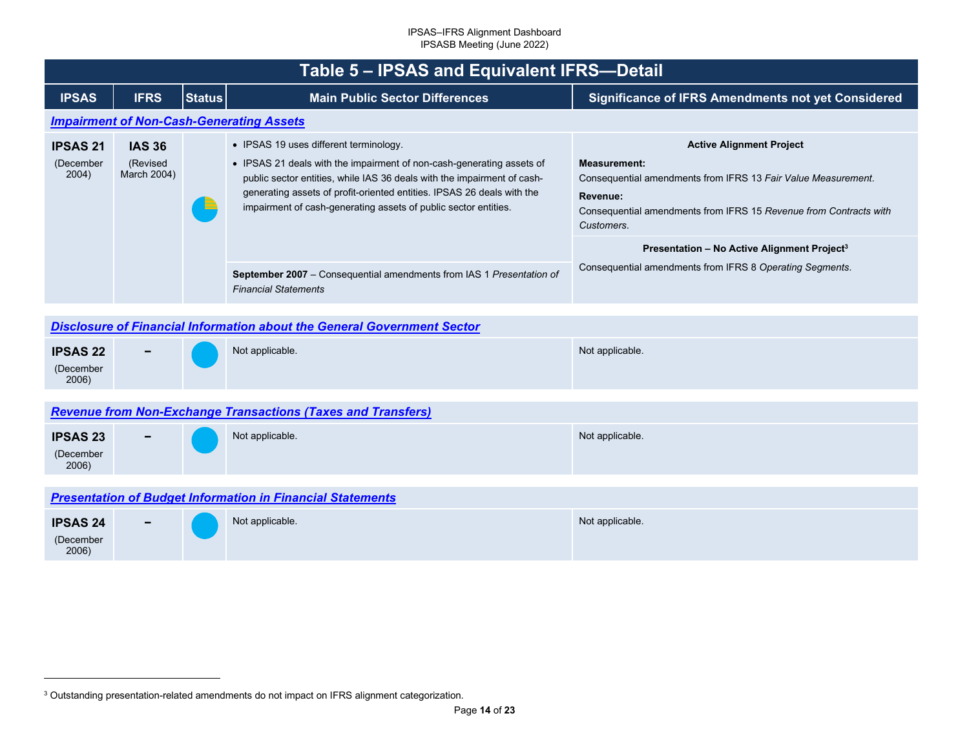<span id="page-13-4"></span><span id="page-13-3"></span><span id="page-13-2"></span><span id="page-13-1"></span><span id="page-13-0"></span>

|                                                                   | Table 5 - IPSAS and Equivalent IFRS-Detail                                                                    |               |                                                                                                                                                                                                                                                                                                                                                                                                                 |                                                                                                                                                                                                                                                                                                                                               |  |  |  |
|-------------------------------------------------------------------|---------------------------------------------------------------------------------------------------------------|---------------|-----------------------------------------------------------------------------------------------------------------------------------------------------------------------------------------------------------------------------------------------------------------------------------------------------------------------------------------------------------------------------------------------------------------|-----------------------------------------------------------------------------------------------------------------------------------------------------------------------------------------------------------------------------------------------------------------------------------------------------------------------------------------------|--|--|--|
| <b>IPSAS</b>                                                      | <b>IFRS</b>                                                                                                   | <b>Status</b> | <b>Main Public Sector Differences</b>                                                                                                                                                                                                                                                                                                                                                                           | <b>Significance of IFRS Amendments not yet Considered</b>                                                                                                                                                                                                                                                                                     |  |  |  |
|                                                                   |                                                                                                               |               | <b>Impairment of Non-Cash-Generating Assets</b>                                                                                                                                                                                                                                                                                                                                                                 |                                                                                                                                                                                                                                                                                                                                               |  |  |  |
| <b>IPSAS 21</b><br>(December<br>2004)                             | <b>IAS 36</b><br>(Revised<br>March 2004)                                                                      |               | • IPSAS 19 uses different terminology.<br>• IPSAS 21 deals with the impairment of non-cash-generating assets of<br>public sector entities, while IAS 36 deals with the impairment of cash-<br>generating assets of profit-oriented entities. IPSAS 26 deals with the<br>impairment of cash-generating assets of public sector entities.<br>September 2007 - Consequential amendments from IAS 1 Presentation of | <b>Active Alignment Project</b><br><b>Measurement:</b><br>Consequential amendments from IFRS 13 Fair Value Measurement.<br>Revenue:<br>Consequential amendments from IFRS 15 Revenue from Contracts with<br>Customers.<br>Presentation - No Active Alignment Project <sup>3</sup><br>Consequential amendments from IFRS 8 Operating Segments. |  |  |  |
|                                                                   | <b>Financial Statements</b><br><b>Disclosure of Financial Information about the General Government Sector</b> |               |                                                                                                                                                                                                                                                                                                                                                                                                                 |                                                                                                                                                                                                                                                                                                                                               |  |  |  |
| <b>IPSAS 22</b><br>(December<br>2006)                             |                                                                                                               |               | Not applicable.                                                                                                                                                                                                                                                                                                                                                                                                 | Not applicable.                                                                                                                                                                                                                                                                                                                               |  |  |  |
|                                                                   |                                                                                                               |               | <b>Revenue from Non-Exchange Transactions (Taxes and Transfers)</b>                                                                                                                                                                                                                                                                                                                                             |                                                                                                                                                                                                                                                                                                                                               |  |  |  |
| <b>IPSAS 23</b><br>(December<br>2006)                             |                                                                                                               |               | Not applicable.                                                                                                                                                                                                                                                                                                                                                                                                 | Not applicable.                                                                                                                                                                                                                                                                                                                               |  |  |  |
| <b>Presentation of Budget Information in Financial Statements</b> |                                                                                                               |               |                                                                                                                                                                                                                                                                                                                                                                                                                 |                                                                                                                                                                                                                                                                                                                                               |  |  |  |
| <b>IPSAS 24</b><br>(December<br>2006)                             |                                                                                                               |               | Not applicable.                                                                                                                                                                                                                                                                                                                                                                                                 | Not applicable.                                                                                                                                                                                                                                                                                                                               |  |  |  |

<sup>3</sup> Outstanding presentation-related amendments do not impact on IFRS alignment categorization.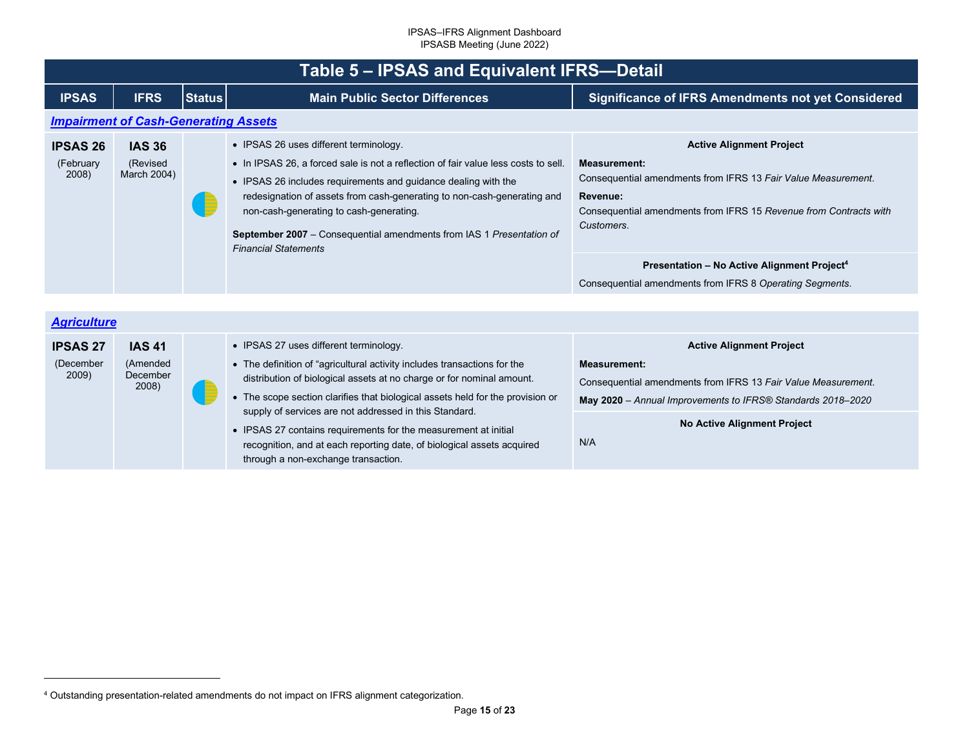<span id="page-14-2"></span><span id="page-14-1"></span><span id="page-14-0"></span>

|                                       | Table 5 - IPSAS and Equivalent IFRS-Detail     |               |                                                                                                                                                                                                                                                                                                                                                                                                                                                                                                                             |                                                                                                                                                                                                                                                                                                                                               |  |
|---------------------------------------|------------------------------------------------|---------------|-----------------------------------------------------------------------------------------------------------------------------------------------------------------------------------------------------------------------------------------------------------------------------------------------------------------------------------------------------------------------------------------------------------------------------------------------------------------------------------------------------------------------------|-----------------------------------------------------------------------------------------------------------------------------------------------------------------------------------------------------------------------------------------------------------------------------------------------------------------------------------------------|--|
| <b>IPSAS</b>                          | <b>IFRS</b>                                    | <b>Status</b> | <b>Main Public Sector Differences</b>                                                                                                                                                                                                                                                                                                                                                                                                                                                                                       | <b>Significance of IFRS Amendments not yet Considered</b>                                                                                                                                                                                                                                                                                     |  |
|                                       | <b>Impairment of Cash-Generating Assets</b>    |               |                                                                                                                                                                                                                                                                                                                                                                                                                                                                                                                             |                                                                                                                                                                                                                                                                                                                                               |  |
| <b>IPSAS 26</b><br>(February<br>2008) | <b>IAS 36</b><br>(Revised<br>March 2004)       |               | • IPSAS 26 uses different terminology.<br>• In IPSAS 26, a forced sale is not a reflection of fair value less costs to sell.<br>• IPSAS 26 includes requirements and guidance dealing with the<br>redesignation of assets from cash-generating to non-cash-generating and<br>non-cash-generating to cash-generating.<br>September 2007 - Consequential amendments from IAS 1 Presentation of<br><b>Financial Statements</b>                                                                                                 | <b>Active Alignment Project</b><br><b>Measurement:</b><br>Consequential amendments from IFRS 13 Fair Value Measurement.<br>Revenue:<br>Consequential amendments from IFRS 15 Revenue from Contracts with<br>Customers.<br>Presentation - No Active Alignment Project <sup>4</sup><br>Consequential amendments from IFRS 8 Operating Segments. |  |
| <b>Agriculture</b>                    |                                                |               |                                                                                                                                                                                                                                                                                                                                                                                                                                                                                                                             |                                                                                                                                                                                                                                                                                                                                               |  |
| <b>IPSAS 27</b><br>(December<br>2009) | <b>IAS 41</b><br>(Amended<br>December<br>2008) |               | • IPSAS 27 uses different terminology.<br>• The definition of "agricultural activity includes transactions for the<br>distribution of biological assets at no charge or for nominal amount.<br>• The scope section clarifies that biological assets held for the provision or<br>supply of services are not addressed in this Standard.<br>• IPSAS 27 contains requirements for the measurement at initial<br>recognition, and at each reporting date, of biological assets acquired<br>through a non-exchange transaction. | <b>Active Alignment Project</b><br><b>Measurement:</b><br>Consequential amendments from IFRS 13 Fair Value Measurement.<br>May 2020 - Annual Improvements to IFRS® Standards 2018-2020<br><b>No Active Alignment Project</b><br>N/A                                                                                                           |  |

<sup>4</sup> Outstanding presentation-related amendments do not impact on IFRS alignment categorization.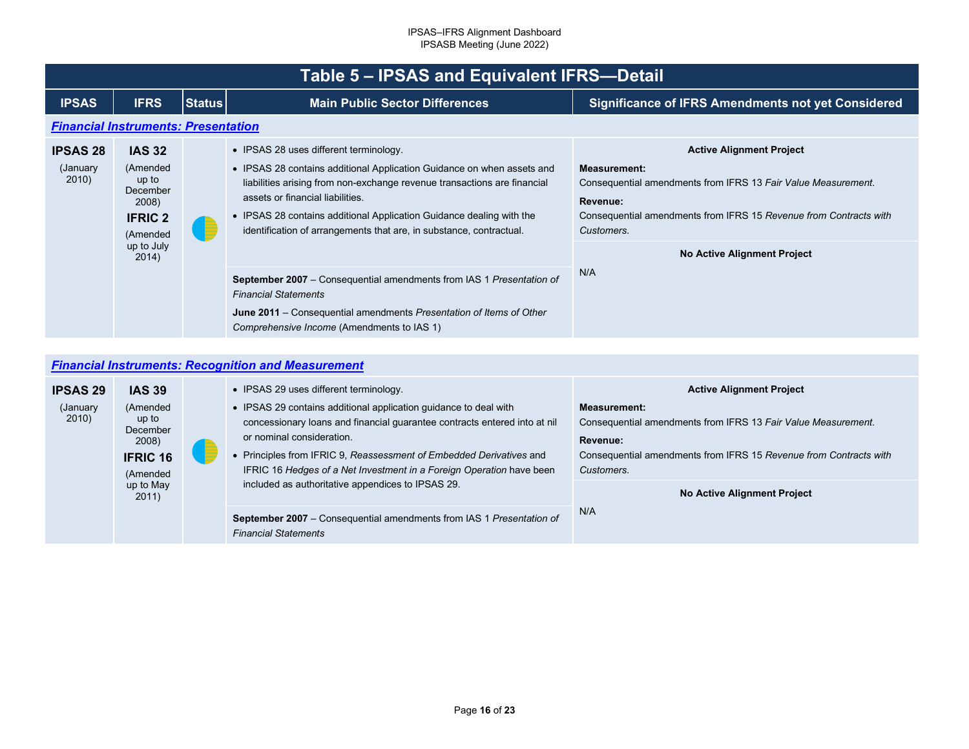<span id="page-15-1"></span><span id="page-15-0"></span>

|                                       | Table 5 - IPSAS and Equivalent IFRS-Detail                                                                   |               |                                                                                                                                                                                                                                                                                                                                                                                 |                                                                                                                                                                                                                                                              |  |  |  |
|---------------------------------------|--------------------------------------------------------------------------------------------------------------|---------------|---------------------------------------------------------------------------------------------------------------------------------------------------------------------------------------------------------------------------------------------------------------------------------------------------------------------------------------------------------------------------------|--------------------------------------------------------------------------------------------------------------------------------------------------------------------------------------------------------------------------------------------------------------|--|--|--|
| <b>IPSAS</b>                          | <b>IFRS</b>                                                                                                  | <b>Status</b> | <b>Main Public Sector Differences</b>                                                                                                                                                                                                                                                                                                                                           | <b>Significance of IFRS Amendments not yet Considered</b>                                                                                                                                                                                                    |  |  |  |
|                                       | <b>Financial Instruments: Presentation</b>                                                                   |               |                                                                                                                                                                                                                                                                                                                                                                                 |                                                                                                                                                                                                                                                              |  |  |  |
| <b>IPSAS 28</b><br>(January)<br>2010) | <b>IAS 32</b><br>(Amended<br>up to<br>December<br>2008)<br><b>IFRIC 2</b><br>(Amended<br>up to July<br>2014) | B             | • IPSAS 28 uses different terminology.<br>• IPSAS 28 contains additional Application Guidance on when assets and<br>liabilities arising from non-exchange revenue transactions are financial<br>assets or financial liabilities.<br>• IPSAS 28 contains additional Application Guidance dealing with the<br>identification of arrangements that are, in substance, contractual. | <b>Active Alignment Project</b><br><b>Measurement:</b><br>Consequential amendments from IFRS 13 Fair Value Measurement.<br>Revenue:<br>Consequential amendments from IFRS 15 Revenue from Contracts with<br>Customers.<br><b>No Active Alignment Project</b> |  |  |  |
|                                       |                                                                                                              |               | <b>September 2007</b> – Consequential amendments from IAS 1 Presentation of<br><b>Financial Statements</b><br><b>June 2011</b> – Consequential amendments Presentation of Items of Other<br>Comprehensive Income (Amendments to IAS 1)                                                                                                                                          | N/A                                                                                                                                                                                                                                                          |  |  |  |

## *[Financial Instruments: Recognition and Measurement](#page-2-23)*

| <b>IPSAS 29</b>    | <b>IAS 39</b>                                                         |   | • IPSAS 29 uses different terminology.                                                                                                                                                                                                                                                                                                                                         | <b>Active Alignment Project</b>                                                                                                                                                     |
|--------------------|-----------------------------------------------------------------------|---|--------------------------------------------------------------------------------------------------------------------------------------------------------------------------------------------------------------------------------------------------------------------------------------------------------------------------------------------------------------------------------|-------------------------------------------------------------------------------------------------------------------------------------------------------------------------------------|
| (January)<br>2010) | (Amended<br>up to<br>December<br>2008)<br><b>IFRIC 16</b><br>(Amended | E | • IPSAS 29 contains additional application guidance to deal with<br>concessionary loans and financial guarantee contracts entered into at nil<br>or nominal consideration.<br>• Principles from IFRIC 9, Reassessment of Embedded Derivatives and<br>IFRIC 16 Hedges of a Net Investment in a Foreign Operation have been<br>included as authoritative appendices to IPSAS 29. | <b>Measurement:</b><br>Consequential amendments from IFRS 13 Fair Value Measurement.<br>Revenue:<br>Consequential amendments from IFRS 15 Revenue from Contracts with<br>Customers. |
|                    | up to May<br>2011)                                                    |   |                                                                                                                                                                                                                                                                                                                                                                                | No Active Alignment Project                                                                                                                                                         |
|                    |                                                                       |   | <b>September 2007</b> – Consequential amendments from IAS 1 Presentation of<br><b>Financial Statements</b>                                                                                                                                                                                                                                                                     | N/A                                                                                                                                                                                 |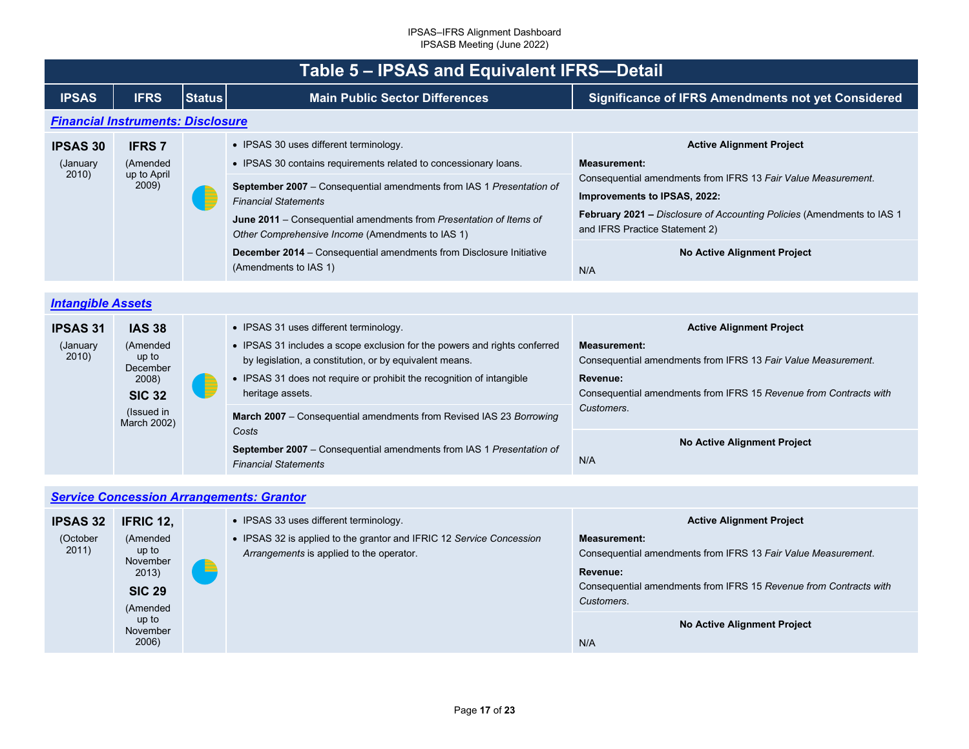<span id="page-16-2"></span><span id="page-16-1"></span><span id="page-16-0"></span>

| Table 5 - IPSAS and Equivalent IFRS-Detail |                                                                                                       |               |                                                                                                                                                                                                                                                                                                                                                             |                                                                                                                                                                                                                                                                            |  |  |  |
|--------------------------------------------|-------------------------------------------------------------------------------------------------------|---------------|-------------------------------------------------------------------------------------------------------------------------------------------------------------------------------------------------------------------------------------------------------------------------------------------------------------------------------------------------------------|----------------------------------------------------------------------------------------------------------------------------------------------------------------------------------------------------------------------------------------------------------------------------|--|--|--|
| <b>IPSAS</b>                               | <b>IFRS</b>                                                                                           | <b>Status</b> | <b>Main Public Sector Differences</b>                                                                                                                                                                                                                                                                                                                       | <b>Significance of IFRS Amendments not yet Considered</b>                                                                                                                                                                                                                  |  |  |  |
| <b>Financial Instruments: Disclosure</b>   |                                                                                                       |               |                                                                                                                                                                                                                                                                                                                                                             |                                                                                                                                                                                                                                                                            |  |  |  |
| <b>IPSAS 30</b><br>(January<br>2010)       | <b>IFRS7</b><br>(Amended<br>up to April<br>2009)                                                      |               | • IPSAS 30 uses different terminology.<br>• IPSAS 30 contains requirements related to concessionary loans.<br>September 2007 - Consequential amendments from IAS 1 Presentation of<br><b>Financial Statements</b><br>June 2011 – Consequential amendments from Presentation of Items of<br>Other Comprehensive Income (Amendments to IAS 1)                 | <b>Active Alignment Project</b><br><b>Measurement:</b><br>Consequential amendments from IFRS 13 Fair Value Measurement.<br>Improvements to IPSAS, 2022:<br><b>February 2021 - Disclosure of Accounting Policies (Amendments to IAS 1</b><br>and IFRS Practice Statement 2) |  |  |  |
|                                            |                                                                                                       |               | <b>December 2014</b> – Consequential amendments from Disclosure Initiative<br>(Amendments to IAS 1)                                                                                                                                                                                                                                                         | <b>No Active Alignment Project</b><br>N/A                                                                                                                                                                                                                                  |  |  |  |
|                                            |                                                                                                       |               |                                                                                                                                                                                                                                                                                                                                                             |                                                                                                                                                                                                                                                                            |  |  |  |
| <b>Intangible Assets</b>                   |                                                                                                       |               |                                                                                                                                                                                                                                                                                                                                                             |                                                                                                                                                                                                                                                                            |  |  |  |
| <b>IPSAS 31</b><br>(January<br>2010)       | <b>IAS 38</b><br>(Amended<br>up to<br>December<br>2008)<br><b>SIC 32</b><br>(Issued in<br>March 2002) | f             | • IPSAS 31 uses different terminology.<br>• IPSAS 31 includes a scope exclusion for the powers and rights conferred<br>by legislation, a constitution, or by equivalent means.<br>• IPSAS 31 does not require or prohibit the recognition of intangible<br>heritage assets.<br>March 2007 - Consequential amendments from Revised IAS 23 Borrowing<br>Costs | <b>Active Alignment Project</b><br><b>Measurement:</b><br>Consequential amendments from IFRS 13 Fair Value Measurement.<br>Revenue:<br>Consequential amendments from IFRS 15 Revenue from Contracts with<br>Customers.<br>No Active Alignment Project                      |  |  |  |
|                                            |                                                                                                       |               | <b>September 2007</b> – Consequential amendments from IAS 1 Presentation of<br><b>Financial Statements</b>                                                                                                                                                                                                                                                  | N/A                                                                                                                                                                                                                                                                        |  |  |  |
|                                            |                                                                                                       |               |                                                                                                                                                                                                                                                                                                                                                             |                                                                                                                                                                                                                                                                            |  |  |  |
|                                            |                                                                                                       |               | <b>Service Concession Arrangements: Grantor</b>                                                                                                                                                                                                                                                                                                             |                                                                                                                                                                                                                                                                            |  |  |  |
| IDCAC 22                                   | <b>IEDIC 42</b>                                                                                       |               | . IPSAS 33 uses different terminology                                                                                                                                                                                                                                                                                                                       | Active Alianment Project                                                                                                                                                                                                                                                   |  |  |  |

| <b>IPSAS 32</b>   | <b>IFRIC 12,</b>                                                    | • IPSAS 33 uses different terminology.                                                                           | <b>Active Alignment Project</b>                                                                                                                                                     |
|-------------------|---------------------------------------------------------------------|------------------------------------------------------------------------------------------------------------------|-------------------------------------------------------------------------------------------------------------------------------------------------------------------------------------|
| (October<br>2011) | (Amended<br>up to<br>November<br>2013)<br><b>SIC 29</b><br>(Amended | • IPSAS 32 is applied to the grantor and IFRIC 12 Service Concession<br>Arrangements is applied to the operator. | <b>Measurement:</b><br>Consequential amendments from IFRS 13 Fair Value Measurement.<br>Revenue:<br>Consequential amendments from IFRS 15 Revenue from Contracts with<br>Customers. |
|                   | up to<br>November<br>2006)                                          |                                                                                                                  | No Active Alignment Project<br>N/A                                                                                                                                                  |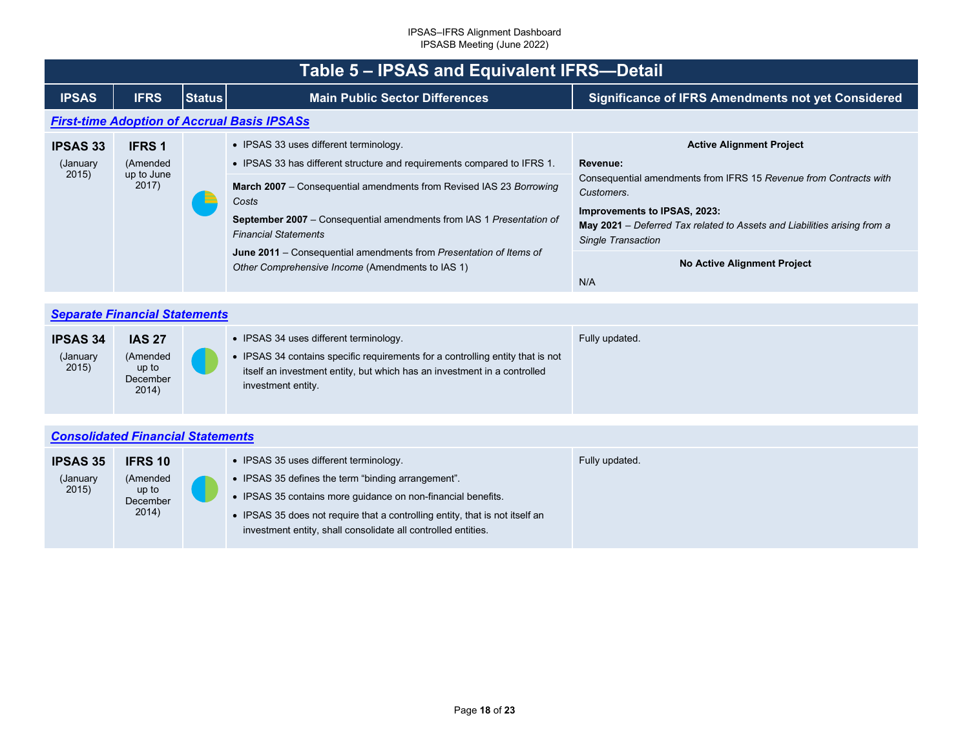<span id="page-17-2"></span><span id="page-17-1"></span><span id="page-17-0"></span>

|                                       | Table 5 – IPSAS and Equivalent IFRS-Detail       |               |                                                                                                                                                                                                                                                                                                                                                                                                                                           |                                                                                                                                                                                                                                                                                                               |  |  |  |
|---------------------------------------|--------------------------------------------------|---------------|-------------------------------------------------------------------------------------------------------------------------------------------------------------------------------------------------------------------------------------------------------------------------------------------------------------------------------------------------------------------------------------------------------------------------------------------|---------------------------------------------------------------------------------------------------------------------------------------------------------------------------------------------------------------------------------------------------------------------------------------------------------------|--|--|--|
| <b>IPSAS</b>                          | <b>IFRS</b>                                      | <b>Status</b> | <b>Main Public Sector Differences</b>                                                                                                                                                                                                                                                                                                                                                                                                     | <b>Significance of IFRS Amendments not yet Considered</b>                                                                                                                                                                                                                                                     |  |  |  |
|                                       |                                                  |               | <b>First-time Adoption of Accrual Basis IPSASs</b>                                                                                                                                                                                                                                                                                                                                                                                        |                                                                                                                                                                                                                                                                                                               |  |  |  |
| <b>IPSAS 33</b><br>(January)<br>2015) | <b>IFRS 1</b><br>(Amended<br>up to June<br>2017) | ÷             | • IPSAS 33 uses different terminology.<br>• IPSAS 33 has different structure and requirements compared to IFRS 1.<br>March 2007 - Consequential amendments from Revised IAS 23 Borrowing<br>Costs<br><b>September 2007</b> – Consequential amendments from IAS 1 Presentation of<br><b>Financial Statements</b><br>June 2011 – Consequential amendments from Presentation of Items of<br>Other Comprehensive Income (Amendments to IAS 1) | <b>Active Alignment Project</b><br>Revenue:<br>Consequential amendments from IFRS 15 Revenue from Contracts with<br>Customers.<br>Improvements to IPSAS, 2023:<br>May 2021 - Deferred Tax related to Assets and Liabilities arising from a<br>Single Transaction<br><b>No Active Alignment Project</b><br>N/A |  |  |  |

|                                      | <b>Separate Financial Statements</b>                    |  |                                                                                                                                                                                                                            |                |  |
|--------------------------------------|---------------------------------------------------------|--|----------------------------------------------------------------------------------------------------------------------------------------------------------------------------------------------------------------------------|----------------|--|
| <b>IPSAS 34</b><br>(January<br>2015) | <b>IAS 27</b><br>(Amended<br>up to<br>December<br>2014) |  | • IPSAS 34 uses different terminology.<br>• IPSAS 34 contains specific requirements for a controlling entity that is not<br>itself an investment entity, but which has an investment in a controlled<br>investment entity. | Fully updated. |  |

## *[Consolidated Financial Statements](#page-2-28)*

| <b>IPSAS 35</b><br>(January<br>2015) | <b>IFRS 10</b><br>(Amended<br>up to |  | • IPSAS 35 uses different terminology.<br>• IPSAS 35 defines the term "binding arrangement".<br>• IPSAS 35 contains more guidance on non-financial benefits. | Fully updated. |
|--------------------------------------|-------------------------------------|--|--------------------------------------------------------------------------------------------------------------------------------------------------------------|----------------|
|                                      | December<br>2014)                   |  | • IPSAS 35 does not require that a controlling entity, that is not itself an<br>investment entity, shall consolidate all controlled entities.                |                |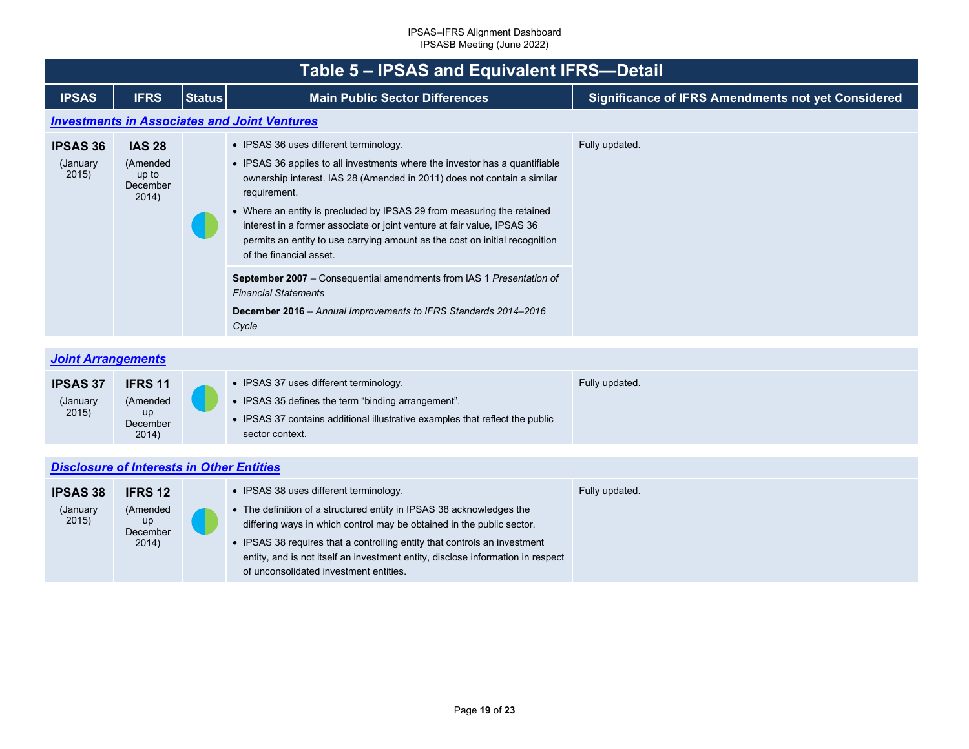<span id="page-18-2"></span><span id="page-18-1"></span><span id="page-18-0"></span>

|                                      | Table 5 - IPSAS and Equivalent IFRS-Detail              |               |                                                                                                                                                                                                                                                                                                                                                                                                                                                                                                                                                                                                                                                                    |                                                           |  |  |
|--------------------------------------|---------------------------------------------------------|---------------|--------------------------------------------------------------------------------------------------------------------------------------------------------------------------------------------------------------------------------------------------------------------------------------------------------------------------------------------------------------------------------------------------------------------------------------------------------------------------------------------------------------------------------------------------------------------------------------------------------------------------------------------------------------------|-----------------------------------------------------------|--|--|
| <b>IPSAS</b>                         | <b>IFRS</b>                                             | <b>Status</b> | <b>Main Public Sector Differences</b>                                                                                                                                                                                                                                                                                                                                                                                                                                                                                                                                                                                                                              | <b>Significance of IFRS Amendments not yet Considered</b> |  |  |
|                                      |                                                         |               | <b>Investments in Associates and Joint Ventures</b>                                                                                                                                                                                                                                                                                                                                                                                                                                                                                                                                                                                                                |                                                           |  |  |
| <b>IPSAS 36</b><br>(January<br>2015) | <b>IAS 28</b><br>(Amended<br>up to<br>December<br>2014) |               | • IPSAS 36 uses different terminology.<br>• IPSAS 36 applies to all investments where the investor has a quantifiable<br>ownership interest. IAS 28 (Amended in 2011) does not contain a similar<br>requirement.<br>• Where an entity is precluded by IPSAS 29 from measuring the retained<br>interest in a former associate or joint venture at fair value, IPSAS 36<br>permits an entity to use carrying amount as the cost on initial recognition<br>of the financial asset.<br>September 2007 - Consequential amendments from IAS 1 Presentation of<br><b>Financial Statements</b><br>December 2016 - Annual Improvements to IFRS Standards 2014-2016<br>Cycle | Fully updated.                                            |  |  |
| <b>Joint Arrangements</b>            |                                                         |               |                                                                                                                                                                                                                                                                                                                                                                                                                                                                                                                                                                                                                                                                    |                                                           |  |  |
| <b>IPSAS 37</b><br>(January<br>2015) | <b>IFRS 11</b><br>(Amended<br>up<br>December<br>2014)   |               | • IPSAS 37 uses different terminology.<br>• IPSAS 35 defines the term "binding arrangement".<br>• IPSAS 37 contains additional illustrative examples that reflect the public<br>sector context.                                                                                                                                                                                                                                                                                                                                                                                                                                                                    | Fully updated.                                            |  |  |
|                                      | <b>Disclosure of Interests in Other Entities</b>        |               |                                                                                                                                                                                                                                                                                                                                                                                                                                                                                                                                                                                                                                                                    |                                                           |  |  |
| <b>IPSAS 38</b><br>(January<br>2015) | <b>IFRS 12</b><br>(Amended<br>up<br>December<br>2014)   |               | • IPSAS 38 uses different terminology.<br>• The definition of a structured entity in IPSAS 38 acknowledges the<br>differing ways in which control may be obtained in the public sector.<br>• IPSAS 38 requires that a controlling entity that controls an investment<br>entity, and is not itself an investment entity, disclose information in respect                                                                                                                                                                                                                                                                                                            | Fully updated.                                            |  |  |

of unconsolidated investment entities.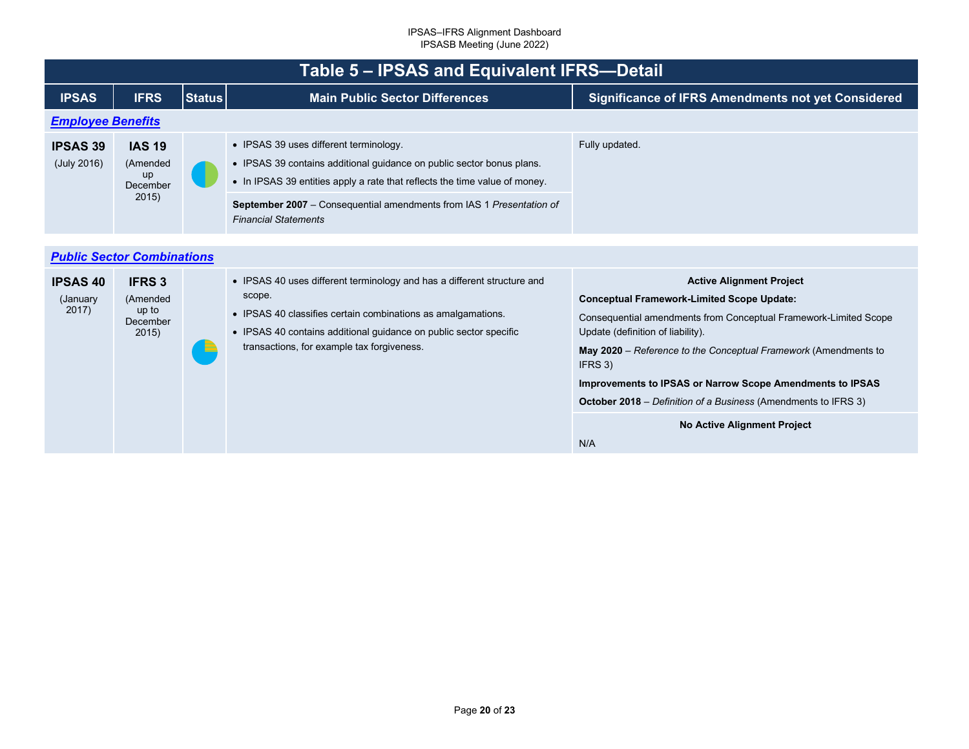<span id="page-19-1"></span><span id="page-19-0"></span>

|                                      | Table 5 - IPSAS and Equivalent IFRS-Detail              |               |                                                                                                                                                                                                                                                                                                             |                                                                                                                                                                                                                                                                                                                                                                                                                   |  |  |
|--------------------------------------|---------------------------------------------------------|---------------|-------------------------------------------------------------------------------------------------------------------------------------------------------------------------------------------------------------------------------------------------------------------------------------------------------------|-------------------------------------------------------------------------------------------------------------------------------------------------------------------------------------------------------------------------------------------------------------------------------------------------------------------------------------------------------------------------------------------------------------------|--|--|
| <b>IPSAS</b>                         | <b>IFRS</b>                                             | <b>Status</b> | <b>Main Public Sector Differences</b>                                                                                                                                                                                                                                                                       | <b>Significance of IFRS Amendments not yet Considered</b>                                                                                                                                                                                                                                                                                                                                                         |  |  |
|                                      | <b>Employee Benefits</b>                                |               |                                                                                                                                                                                                                                                                                                             |                                                                                                                                                                                                                                                                                                                                                                                                                   |  |  |
| <b>IPSAS 39</b><br>(July 2016)       | <b>IAS 19</b><br>(Amended<br>up<br>December<br>2015)    |               | • IPSAS 39 uses different terminology.<br>• IPSAS 39 contains additional guidance on public sector bonus plans.<br>• In IPSAS 39 entities apply a rate that reflects the time value of money.<br><b>September 2007</b> – Consequential amendments from IAS 1 Presentation of<br><b>Financial Statements</b> | Fully updated.                                                                                                                                                                                                                                                                                                                                                                                                    |  |  |
|                                      |                                                         |               |                                                                                                                                                                                                                                                                                                             |                                                                                                                                                                                                                                                                                                                                                                                                                   |  |  |
|                                      | <b>Public Sector Combinations</b>                       |               |                                                                                                                                                                                                                                                                                                             |                                                                                                                                                                                                                                                                                                                                                                                                                   |  |  |
| <b>IPSAS 40</b><br>(January<br>2017) | <b>IFRS 3</b><br>(Amended<br>up to<br>December<br>2015) |               | • IPSAS 40 uses different terminology and has a different structure and<br>scope.<br>• IPSAS 40 classifies certain combinations as amalgamations.<br>• IPSAS 40 contains additional guidance on public sector specific<br>transactions, for example tax forgiveness.                                        | <b>Active Alignment Project</b><br><b>Conceptual Framework-Limited Scope Update:</b><br>Consequential amendments from Conceptual Framework-Limited Scope<br>Update (definition of liability).<br>May 2020 - Reference to the Conceptual Framework (Amendments to<br>IFRS 3)<br>Improvements to IPSAS or Narrow Scope Amendments to IPSAS<br><b>October 2018</b> – Definition of a Business (Amendments to IFRS 3) |  |  |
|                                      |                                                         |               |                                                                                                                                                                                                                                                                                                             | <b>No Active Alignment Project</b><br>N/A                                                                                                                                                                                                                                                                                                                                                                         |  |  |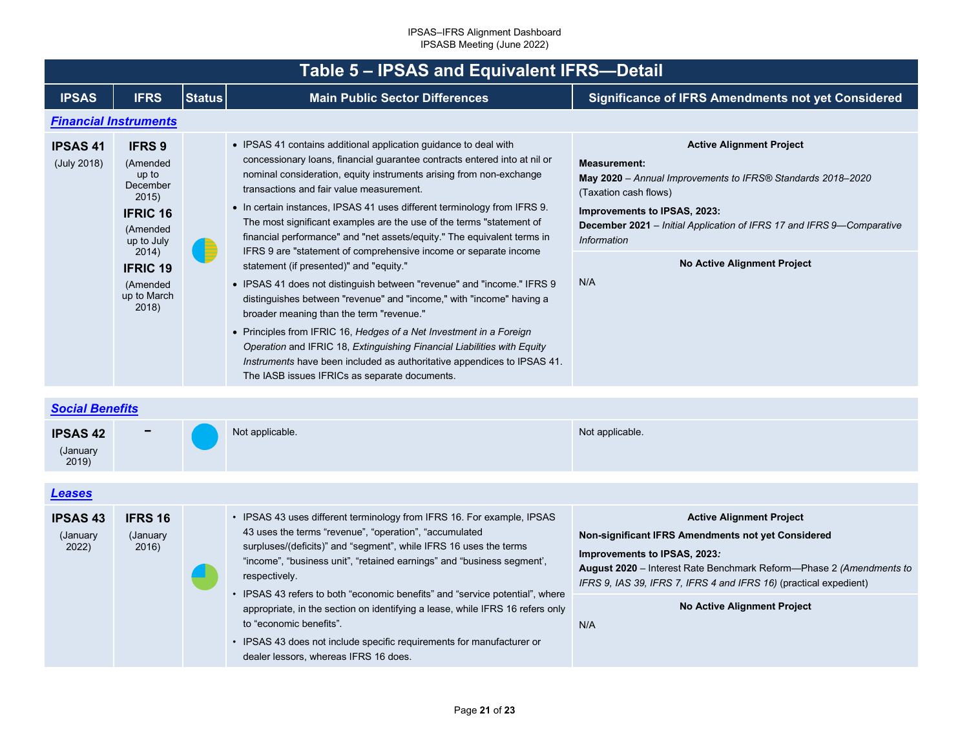<span id="page-20-2"></span><span id="page-20-1"></span><span id="page-20-0"></span>

| Table 5 - IPSAS and Equivalent IFRS-Detail |                                                                                                                                                                      |               |                                                                                                                                                                                                                                                                                                                                                                                                                                                                                                                                                                                                                                                                                                                                                                                                                                                                                                                                                                                                                                                                                            |                                                                                                                                                                                                                                                                                                              |  |  |
|--------------------------------------------|----------------------------------------------------------------------------------------------------------------------------------------------------------------------|---------------|--------------------------------------------------------------------------------------------------------------------------------------------------------------------------------------------------------------------------------------------------------------------------------------------------------------------------------------------------------------------------------------------------------------------------------------------------------------------------------------------------------------------------------------------------------------------------------------------------------------------------------------------------------------------------------------------------------------------------------------------------------------------------------------------------------------------------------------------------------------------------------------------------------------------------------------------------------------------------------------------------------------------------------------------------------------------------------------------|--------------------------------------------------------------------------------------------------------------------------------------------------------------------------------------------------------------------------------------------------------------------------------------------------------------|--|--|
|                                            |                                                                                                                                                                      |               |                                                                                                                                                                                                                                                                                                                                                                                                                                                                                                                                                                                                                                                                                                                                                                                                                                                                                                                                                                                                                                                                                            |                                                                                                                                                                                                                                                                                                              |  |  |
| <b>IPSAS</b>                               | <b>IFRS</b>                                                                                                                                                          | <b>Status</b> | <b>Main Public Sector Differences</b>                                                                                                                                                                                                                                                                                                                                                                                                                                                                                                                                                                                                                                                                                                                                                                                                                                                                                                                                                                                                                                                      | <b>Significance of IFRS Amendments not yet Considered</b>                                                                                                                                                                                                                                                    |  |  |
|                                            | <b>Financial Instruments</b>                                                                                                                                         |               |                                                                                                                                                                                                                                                                                                                                                                                                                                                                                                                                                                                                                                                                                                                                                                                                                                                                                                                                                                                                                                                                                            |                                                                                                                                                                                                                                                                                                              |  |  |
| <b>IPSAS41</b><br>(July 2018)              | <b>IFRS 9</b><br>(Amended<br>up to<br>December<br>2015)<br><b>IFRIC 16</b><br>(Amended<br>up to July<br>2014)<br><b>IFRIC 19</b><br>(Amended<br>up to March<br>2018) |               | • IPSAS 41 contains additional application quidance to deal with<br>concessionary loans, financial guarantee contracts entered into at nil or<br>nominal consideration, equity instruments arising from non-exchange<br>transactions and fair value measurement.<br>• In certain instances, IPSAS 41 uses different terminology from IFRS 9.<br>The most significant examples are the use of the terms "statement of<br>financial performance" and "net assets/equity." The equivalent terms in<br>IFRS 9 are "statement of comprehensive income or separate income<br>statement (if presented)" and "equity."<br>• IPSAS 41 does not distinguish between "revenue" and "income." IFRS 9<br>distinguishes between "revenue" and "income," with "income" having a<br>broader meaning than the term "revenue."<br>• Principles from IFRIC 16, Hedges of a Net Investment in a Foreign<br>Operation and IFRIC 18, Extinguishing Financial Liabilities with Equity<br>Instruments have been included as authoritative appendices to IPSAS 41.<br>The IASB issues IFRICs as separate documents. | <b>Active Alignment Project</b><br><b>Measurement:</b><br>May 2020 - Annual Improvements to IFRS® Standards 2018-2020<br>(Taxation cash flows)<br>Improvements to IPSAS, 2023:<br>December 2021 - Initial Application of IFRS 17 and IFRS 9-Comparative<br>Information<br>No Active Alignment Project<br>N/A |  |  |
| <b>Social Benefits</b>                     |                                                                                                                                                                      |               |                                                                                                                                                                                                                                                                                                                                                                                                                                                                                                                                                                                                                                                                                                                                                                                                                                                                                                                                                                                                                                                                                            |                                                                                                                                                                                                                                                                                                              |  |  |
|                                            |                                                                                                                                                                      |               |                                                                                                                                                                                                                                                                                                                                                                                                                                                                                                                                                                                                                                                                                                                                                                                                                                                                                                                                                                                                                                                                                            |                                                                                                                                                                                                                                                                                                              |  |  |
| <b>IPSAS 42</b><br>(January<br>2019)       |                                                                                                                                                                      |               | Not applicable.                                                                                                                                                                                                                                                                                                                                                                                                                                                                                                                                                                                                                                                                                                                                                                                                                                                                                                                                                                                                                                                                            | Not applicable.                                                                                                                                                                                                                                                                                              |  |  |
|                                            |                                                                                                                                                                      |               |                                                                                                                                                                                                                                                                                                                                                                                                                                                                                                                                                                                                                                                                                                                                                                                                                                                                                                                                                                                                                                                                                            |                                                                                                                                                                                                                                                                                                              |  |  |
| <b>Leases</b>                              |                                                                                                                                                                      |               |                                                                                                                                                                                                                                                                                                                                                                                                                                                                                                                                                                                                                                                                                                                                                                                                                                                                                                                                                                                                                                                                                            |                                                                                                                                                                                                                                                                                                              |  |  |
| <b>IPSAS 43</b>                            | <b>IFRS 16</b>                                                                                                                                                       |               | • IPSAS 43 uses different terminology from IFRS 16. For example, IPSAS                                                                                                                                                                                                                                                                                                                                                                                                                                                                                                                                                                                                                                                                                                                                                                                                                                                                                                                                                                                                                     | <b>Active Alignment Project</b>                                                                                                                                                                                                                                                                              |  |  |

(January 2022) (January  $2016$ ) 43 uses the terms "revenue", "operation", "accumulated surpluses/(deficits)" and "segment", while IFRS 16 uses the terms "income", "business unit", "retained earnings" and "business segment', respectively. • IPSAS 43 refers to both "economic benefits" and "service potential", where appropriate, in the section on identifying a lease, while IFRS 16 refers only to "economic benefits". • IPSAS 43 does not include specific requirements for manufacturer or dealer lessors, whereas IFRS 16 does. **Non-significant IFRS Amendments not yet Considered Improvements to IPSAS, 2023***:* **August 2020** – Interest Rate Benchmark Reform—Phase 2 *(Amendments to IFRS 9, IAS 39, IFRS 7, IFRS 4 and IFRS 16)* (practical expedient) **No Active Alignment Project** N/A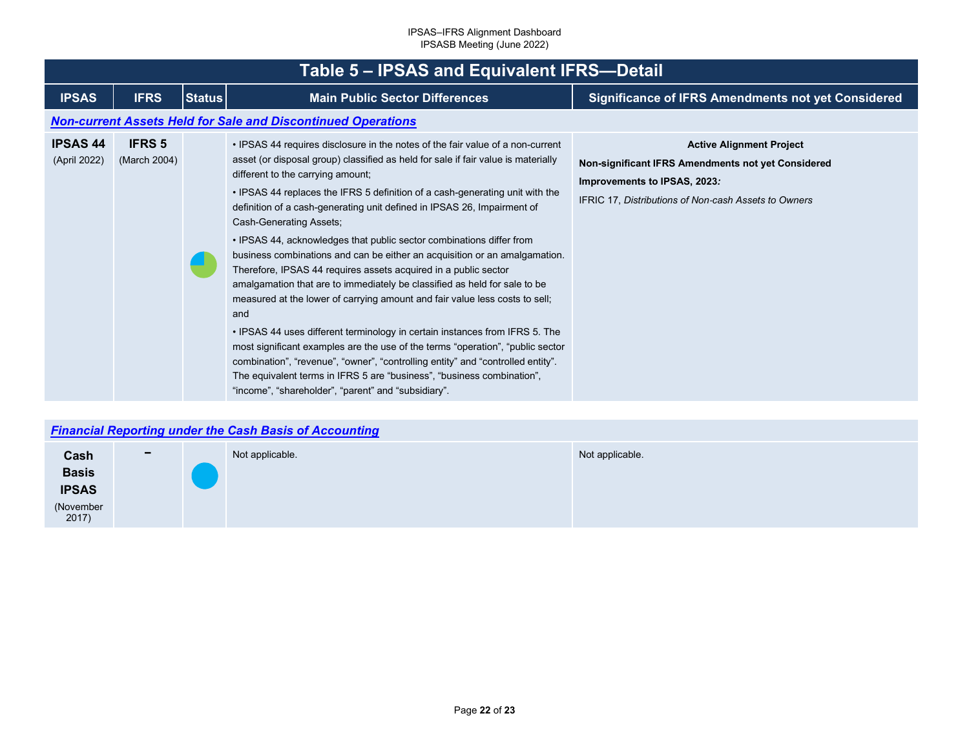<span id="page-21-1"></span><span id="page-21-0"></span>

|                                 | Table 5 - IPSAS and Equivalent IFRS-Detail |               |                                                                                                                                                                                                                                                                                                                                                                                                                                                                                                                                                                                                                                                                                                                                                                                                                                                                                                                                                                                                                                                                                                                                                                                 |                                                                                                                                                                                      |  |  |
|---------------------------------|--------------------------------------------|---------------|---------------------------------------------------------------------------------------------------------------------------------------------------------------------------------------------------------------------------------------------------------------------------------------------------------------------------------------------------------------------------------------------------------------------------------------------------------------------------------------------------------------------------------------------------------------------------------------------------------------------------------------------------------------------------------------------------------------------------------------------------------------------------------------------------------------------------------------------------------------------------------------------------------------------------------------------------------------------------------------------------------------------------------------------------------------------------------------------------------------------------------------------------------------------------------|--------------------------------------------------------------------------------------------------------------------------------------------------------------------------------------|--|--|
| <b>IPSAS</b>                    | <b>IFRS</b>                                | <b>Status</b> | <b>Main Public Sector Differences</b>                                                                                                                                                                                                                                                                                                                                                                                                                                                                                                                                                                                                                                                                                                                                                                                                                                                                                                                                                                                                                                                                                                                                           | <b>Significance of IFRS Amendments not yet Considered</b>                                                                                                                            |  |  |
|                                 |                                            |               | <b>Non-current Assets Held for Sale and Discontinued Operations</b>                                                                                                                                                                                                                                                                                                                                                                                                                                                                                                                                                                                                                                                                                                                                                                                                                                                                                                                                                                                                                                                                                                             |                                                                                                                                                                                      |  |  |
| <b>IPSAS 44</b><br>(April 2022) | <b>IFRS 5</b><br>(March 2004)              |               | • IPSAS 44 requires disclosure in the notes of the fair value of a non-current<br>asset (or disposal group) classified as held for sale if fair value is materially<br>different to the carrying amount;<br>• IPSAS 44 replaces the IFRS 5 definition of a cash-generating unit with the<br>definition of a cash-generating unit defined in IPSAS 26, Impairment of<br>Cash-Generating Assets;<br>. IPSAS 44, acknowledges that public sector combinations differ from<br>business combinations and can be either an acquisition or an amalgamation.<br>Therefore, IPSAS 44 requires assets acquired in a public sector<br>amalgamation that are to immediately be classified as held for sale to be<br>measured at the lower of carrying amount and fair value less costs to sell;<br>and<br>• IPSAS 44 uses different terminology in certain instances from IFRS 5. The<br>most significant examples are the use of the terms "operation", "public sector<br>combination", "revenue", "owner", "controlling entity" and "controlled entity".<br>The equivalent terms in IFRS 5 are "business", "business combination",<br>"income", "shareholder", "parent" and "subsidiary". | <b>Active Alignment Project</b><br>Non-significant IFRS Amendments not yet Considered<br>Improvements to IPSAS, 2023:<br><b>IFRIC 17. Distributions of Non-cash Assets to Owners</b> |  |  |

## *[Financial Reporting under the Cash Basis of Accounting](#page-2-38)*

| Cash               | $\overline{\phantom{0}}$ | Not applicable. | Not applicable. |
|--------------------|--------------------------|-----------------|-----------------|
| <b>Basis</b>       |                          |                 |                 |
| <b>IPSAS</b>       |                          |                 |                 |
| (November<br>2017) |                          |                 |                 |